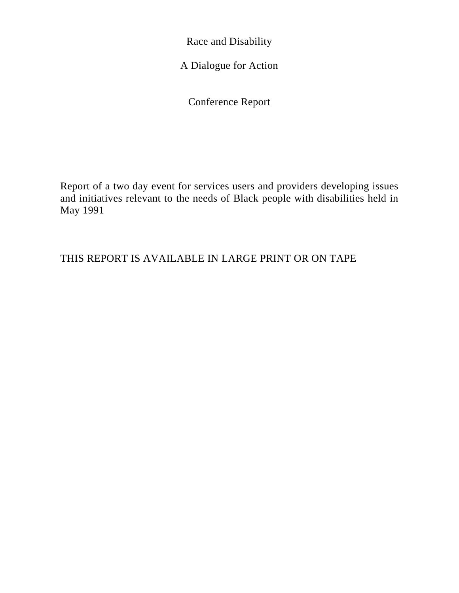Race and Disability

A Dialogue for Action

Conference Report

Report of a two day event for services users and providers developing issues and initiatives relevant to the needs of Black people with disabilities held in May 1991

THIS REPORT IS AVAILABLE IN LARGE PRINT OR ON TAPE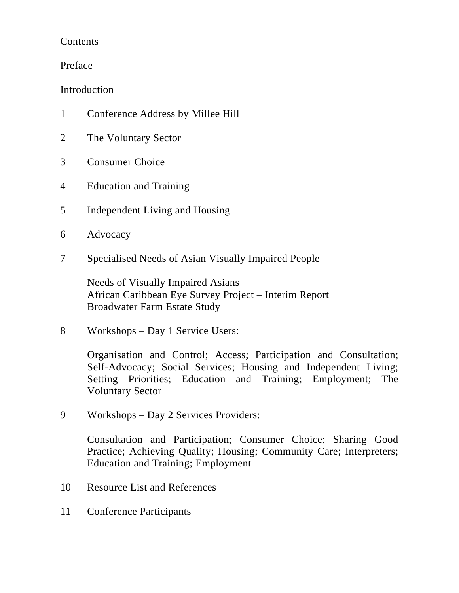### Contents

Preface

Introduction

- 1 Conference Address by Millee Hill
- 2 The Voluntary Sector
- 3 Consumer Choice
- 4 Education and Training
- 5 Independent Living and Housing
- 6 Advocacy
- 7 Specialised Needs of Asian Visually Impaired People

Needs of Visually Impaired Asians African Caribbean Eye Survey Project – Interim Report Broadwater Farm Estate Study

8 Workshops – Day 1 Service Users:

Organisation and Control; Access; Participation and Consultation; Self-Advocacy; Social Services; Housing and Independent Living; Setting Priorities; Education and Training; Employment; The Voluntary Sector

9 Workshops – Day 2 Services Providers:

Consultation and Participation; Consumer Choice; Sharing Good Practice; Achieving Quality; Housing; Community Care; Interpreters; Education and Training; Employment

- 10 Resource List and References
- 11 Conference Participants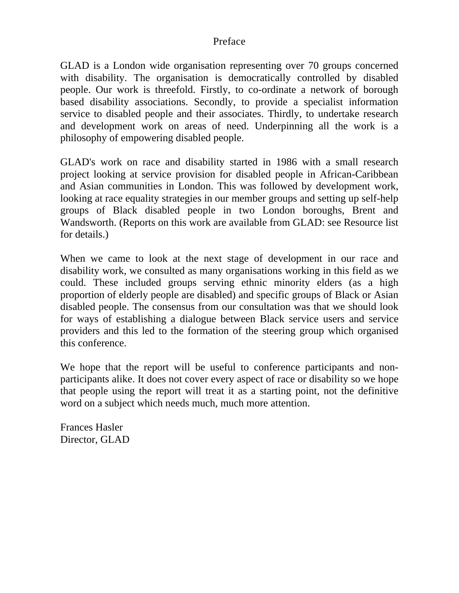#### Preface

GLAD is a London wide organisation representing over 70 groups concerned with disability. The organisation is democratically controlled by disabled people. Our work is threefold. Firstly, to co-ordinate a network of borough based disability associations. Secondly, to provide a specialist information service to disabled people and their associates. Thirdly, to undertake research and development work on areas of need. Underpinning all the work is a philosophy of empowering disabled people.

GLAD's work on race and disability started in 1986 with a small research project looking at service provision for disabled people in African-Caribbean and Asian communities in London. This was followed by development work, looking at race equality strategies in our member groups and setting up self-help groups of Black disabled people in two London boroughs, Brent and Wandsworth. (Reports on this work are available from GLAD: see Resource list for details.)

When we came to look at the next stage of development in our race and disability work, we consulted as many organisations working in this field as we could. These included groups serving ethnic minority elders (as a high proportion of elderly people are disabled) and specific groups of Black or Asian disabled people. The consensus from our consultation was that we should look for ways of establishing a dialogue between Black service users and service providers and this led to the formation of the steering group which organised this conference.

We hope that the report will be useful to conference participants and nonparticipants alike. It does not cover every aspect of race or disability so we hope that people using the report will treat it as a starting point, not the definitive word on a subject which needs much, much more attention.

Frances Hasler Director, GLAD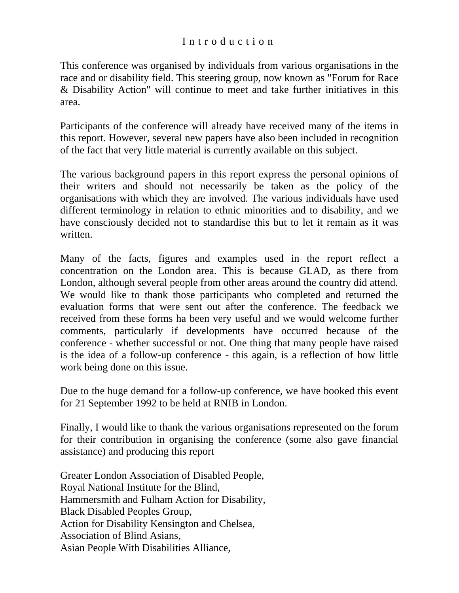### Introduction

This conference was organised by individuals from various organisations in the race and or disability field. This steering group, now known as "Forum for Race & Disability Action" will continue to meet and take further initiatives in this area.

Participants of the conference will already have received many of the items in this report. However, several new papers have also been included in recognition of the fact that very little material is currently available on this subject.

The various background papers in this report express the personal opinions of their writers and should not necessarily be taken as the policy of the organisations with which they are involved. The various individuals have used different terminology in relation to ethnic minorities and to disability, and we have consciously decided not to standardise this but to let it remain as it was written.

Many of the facts, figures and examples used in the report reflect a concentration on the London area. This is because GLAD, as there from London, although several people from other areas around the country did attend. We would like to thank those participants who completed and returned the evaluation forms that were sent out after the conference. The feedback we received from these forms ha been very useful and we would welcome further comments, particularly if developments have occurred because of the conference - whether successful or not. One thing that many people have raised is the idea of a follow-up conference - this again, is a reflection of how little work being done on this issue.

Due to the huge demand for a follow-up conference, we have booked this event for 21 September 1992 to be held at RNIB in London.

Finally, I would like to thank the various organisations represented on the forum for their contribution in organising the conference (some also gave financial assistance) and producing this report

Greater London Association of Disabled People, Royal National Institute for the Blind, Hammersmith and Fulham Action for Disability, Black Disabled Peoples Group, Action for Disability Kensington and Chelsea, Association of Blind Asians, Asian People With Disabilities Alliance,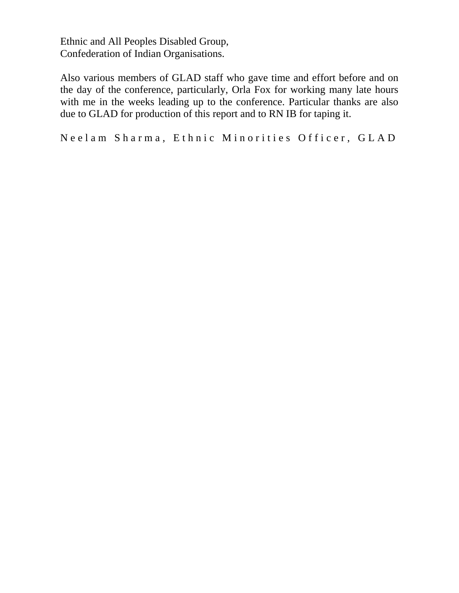Ethnic and All Peoples Disabled Group, Confederation of Indian Organisations.

Also various members of GLAD staff who gave time and effort before and on the day of the conference, particularly, Orla Fox for working many late hours with me in the weeks leading up to the conference. Particular thanks are also due to GLAD for production of this report and to RN IB for taping it.

Neelam Sharma, Ethnic Minorities Officer, GLAD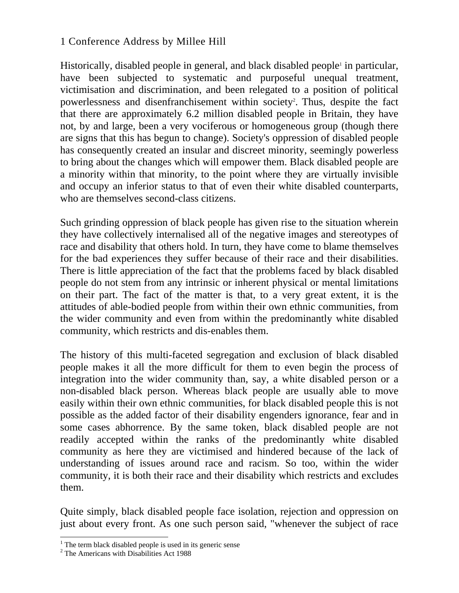### 1 Conference Address by Millee Hill

Historically, disabled people in general, and black disabled people<sup>1</sup> in particular, have been subjected to systematic and purposeful unequal treatment, victimisation and discrimination, and been relegated to a position of political powerlessness and disenfranchisement within society<sup>2</sup>. Thus, despite the fact that there are approximately 6.2 million disabled people in Britain, they have not, by and large, been a very vociferous or homogeneous group (though there are signs that this has begun to change). Society's oppression of disabled people has consequently created an insular and discreet minority, seemingly powerless to bring about the changes which will empower them. Black disabled people are a minority within that minority, to the point where they are virtually invisible and occupy an inferior status to that of even their white disabled counterparts, who are themselves second-class citizens.

Such grinding oppression of black people has given rise to the situation wherein they have collectively internalised all of the negative images and stereotypes of race and disability that others hold. In turn, they have come to blame themselves for the bad experiences they suffer because of their race and their disabilities. There is little appreciation of the fact that the problems faced by black disabled people do not stem from any intrinsic or inherent physical or mental limitations on their part. The fact of the matter is that, to a very great extent, it is the attitudes of able-bodied people from within their own ethnic communities, from the wider community and even from within the predominantly white disabled community, which restricts and dis-enables them.

The history of this multi-faceted segregation and exclusion of black disabled people makes it all the more difficult for them to even begin the process of integration into the wider community than, say, a white disabled person or a non-disabled black person. Whereas black people are usually able to move easily within their own ethnic communities, for black disabled people this is not possible as the added factor of their disability engenders ignorance, fear and in some cases abhorrence. By the same token, black disabled people are not readily accepted within the ranks of the predominantly white disabled community as here they are victimised and hindered because of the lack of understanding of issues around race and racism. So too, within the wider community, it is both their race and their disability which restricts and excludes them.

Quite simply, black disabled people face isolation, rejection and oppression on just about every front. As one such person said, "whenever the subject of race

<sup>&</sup>lt;sup>1</sup> The term black disabled people is used in its generic sense  $2 \text{ The Americ on } \text{ with Dischilities } \Delta \text{ at } 1088$ 

<sup>&</sup>lt;sup>2</sup> The Americans with Disabilities Act 1988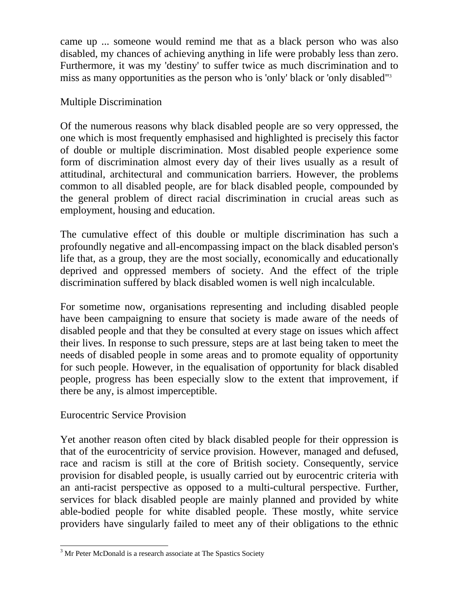came up ... someone would remind me that as a black person who was also disabled, my chances of achieving anything in life were probably less than zero. Furthermore, it was my 'destiny' to suffer twice as much discrimination and to miss as many opportunities as the person who is 'only' black or 'only disabled"3

#### Multiple Discrimination

Of the numerous reasons why black disabled people are so very oppressed, the one which is most frequently emphasised and highlighted is precisely this factor of double or multiple discrimination. Most disabled people experience some form of discrimination almost every day of their lives usually as a result of attitudinal, architectural and communication barriers. However, the problems common to all disabled people, are for black disabled people, compounded by the general problem of direct racial discrimination in crucial areas such as employment, housing and education.

The cumulative effect of this double or multiple discrimination has such a profoundly negative and all-encompassing impact on the black disabled person's life that, as a group, they are the most socially, economically and educationally deprived and oppressed members of society. And the effect of the triple discrimination suffered by black disabled women is well nigh incalculable.

For sometime now, organisations representing and including disabled people have been campaigning to ensure that society is made aware of the needs of disabled people and that they be consulted at every stage on issues which affect their lives. In response to such pressure, steps are at last being taken to meet the needs of disabled people in some areas and to promote equality of opportunity for such people. However, in the equalisation of opportunity for black disabled people, progress has been especially slow to the extent that improvement, if there be any, is almost imperceptible.

## Eurocentric Service Provision

Yet another reason often cited by black disabled people for their oppression is that of the eurocentricity of service provision. However, managed and defused, race and racism is still at the core of British society. Consequently, service provision for disabled people, is usually carried out by eurocentric criteria with an anti-racist perspective as opposed to a multi-cultural perspective. Further, services for black disabled people are mainly planned and provided by white able-bodied people for white disabled people. These mostly, white service providers have singularly failed to meet any of their obligations to the ethnic

<sup>&</sup>lt;sup>3</sup> Mr Peter McDonald is a research associate at The Spastics Society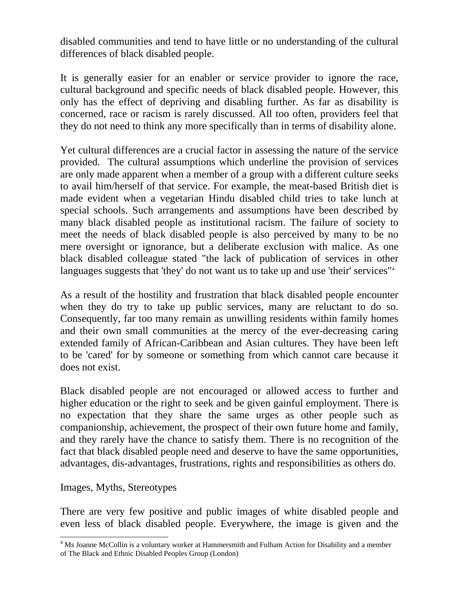disabled communities and tend to have little or no understanding of the cultural differences of black disabled people.

It is generally easier for an enabler or service provider to ignore the race, cultural background and specific needs of black disabled people. However, this only has the effect of depriving and disabling further. As far as disability is concerned, race or racism is rarely discussed. All too often, providers feel that they do not need to think any more specifically than in terms of disability alone.

Yet cultural differences are a crucial factor in assessing the nature of the service provided. The cultural assumptions which underline the provision of services are only made apparent when a member of a group with a different culture seeks to avail him/herself of that service. For example, the meat-based British diet is made evident when a vegetarian Hindu disabled child tries to take lunch at special schools. Such arrangements and assumptions have been described by many black disabled people as institutional racism. The failure of society to meet the needs of black disabled people is also perceived by many to be no mere oversight or ignorance, but a deliberate exclusion with malice. As one black disabled colleague stated "the lack of publication of services in other languages suggests that 'they' do not want us to take up and use 'their' services"<sup>4</sup>

As a result of the hostility and frustration that black disabled people encounter when they do try to take up public services, many are reluctant to do so. Consequently, far too many remain as unwilling residents within family homes and their own small communities at the mercy of the ever-decreasing caring extended family of African-Caribbean and Asian cultures. They have been left to be 'cared' for by someone or something from which cannot care because it does not exist.

Black disabled people are not encouraged or allowed access to further and higher education or the right to seek and be given gainful employment. There is no expectation that they share the same urges as other people such as companionship, achievement, the prospect of their own future home and family, and they rarely have the chance to satisfy them. There is no recognition of the fact that black disabled people need and deserve to have the same opportunities, advantages, dis-advantages, frustrations, rights and responsibilities as others do.

#### Images, Myths, Stereotypes

There are very few positive and public images of white disabled people and even less of black disabled people. Everywhere, the image is given and the

<sup>&</sup>lt;sup>4</sup> Ms Joanne McCollin is a voluntary worker at Hammersmith and Fulham Action for Disability and a member of The Black and Ethnic Disabled Peoples Group (London)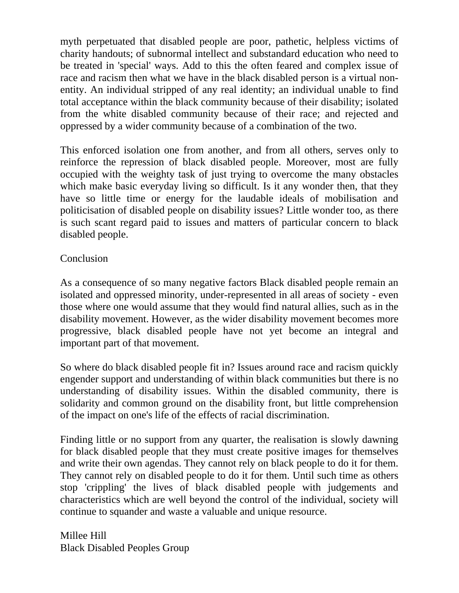myth perpetuated that disabled people are poor, pathetic, helpless victims of charity handouts; of subnormal intellect and substandard education who need to be treated in 'special' ways. Add to this the often feared and complex issue of race and racism then what we have in the black disabled person is a virtual nonentity. An individual stripped of any real identity; an individual unable to find total acceptance within the black community because of their disability; isolated from the white disabled community because of their race; and rejected and oppressed by a wider community because of a combination of the two.

This enforced isolation one from another, and from all others, serves only to reinforce the repression of black disabled people. Moreover, most are fully occupied with the weighty task of just trying to overcome the many obstacles which make basic everyday living so difficult. Is it any wonder then, that they have so little time or energy for the laudable ideals of mobilisation and politicisation of disabled people on disability issues? Little wonder too, as there is such scant regard paid to issues and matters of particular concern to black disabled people.

### Conclusion

As a consequence of so many negative factors Black disabled people remain an isolated and oppressed minority, under-represented in all areas of society - even those where one would assume that they would find natural allies, such as in the disability movement. However, as the wider disability movement becomes more progressive, black disabled people have not yet become an integral and important part of that movement.

So where do black disabled people fit in? Issues around race and racism quickly engender support and understanding of within black communities but there is no understanding of disability issues. Within the disabled community, there is solidarity and common ground on the disability front, but little comprehension of the impact on one's life of the effects of racial discrimination.

Finding little or no support from any quarter, the realisation is slowly dawning for black disabled people that they must create positive images for themselves and write their own agendas. They cannot rely on black people to do it for them. They cannot rely on disabled people to do it for them. Until such time as others stop 'crippling' the lives of black disabled people with judgements and characteristics which are well beyond the control of the individual, society will continue to squander and waste a valuable and unique resource.

Millee Hill Black Disabled Peoples Group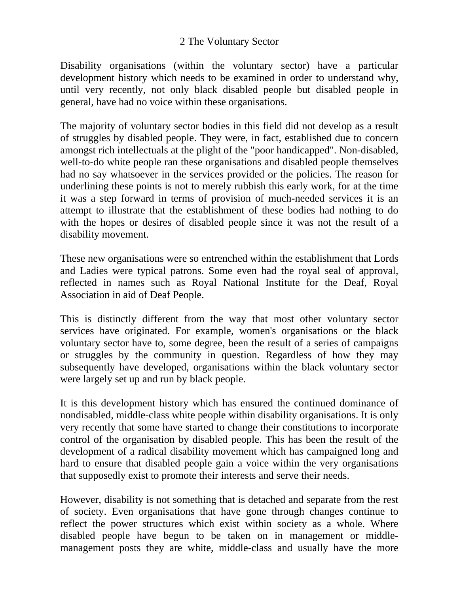#### 2 The Voluntary Sector

Disability organisations (within the voluntary sector) have a particular development history which needs to be examined in order to understand why, until very recently, not only black disabled people but disabled people in general, have had no voice within these organisations.

The majority of voluntary sector bodies in this field did not develop as a result of struggles by disabled people. They were, in fact, established due to concern amongst rich intellectuals at the plight of the "poor handicapped". Non-disabled, well-to-do white people ran these organisations and disabled people themselves had no say whatsoever in the services provided or the policies. The reason for underlining these points is not to merely rubbish this early work, for at the time it was a step forward in terms of provision of much-needed services it is an attempt to illustrate that the establishment of these bodies had nothing to do with the hopes or desires of disabled people since it was not the result of a disability movement.

These new organisations were so entrenched within the establishment that Lords and Ladies were typical patrons. Some even had the royal seal of approval, reflected in names such as Royal National Institute for the Deaf, Royal Association in aid of Deaf People.

This is distinctly different from the way that most other voluntary sector services have originated. For example, women's organisations or the black voluntary sector have to, some degree, been the result of a series of campaigns or struggles by the community in question. Regardless of how they may subsequently have developed, organisations within the black voluntary sector were largely set up and run by black people.

It is this development history which has ensured the continued dominance of nondisabled, middle-class white people within disability organisations. It is only very recently that some have started to change their constitutions to incorporate control of the organisation by disabled people. This has been the result of the development of a radical disability movement which has campaigned long and hard to ensure that disabled people gain a voice within the very organisations that supposedly exist to promote their interests and serve their needs.

However, disability is not something that is detached and separate from the rest of society. Even organisations that have gone through changes continue to reflect the power structures which exist within society as a whole. Where disabled people have begun to be taken on in management or middlemanagement posts they are white, middle-class and usually have the more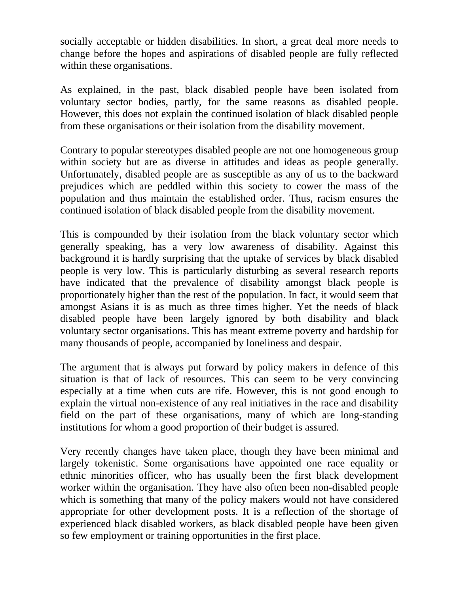socially acceptable or hidden disabilities. In short, a great deal more needs to change before the hopes and aspirations of disabled people are fully reflected within these organisations.

As explained, in the past, black disabled people have been isolated from voluntary sector bodies, partly, for the same reasons as disabled people. However, this does not explain the continued isolation of black disabled people from these organisations or their isolation from the disability movement.

Contrary to popular stereotypes disabled people are not one homogeneous group within society but are as diverse in attitudes and ideas as people generally. Unfortunately, disabled people are as susceptible as any of us to the backward prejudices which are peddled within this society to cower the mass of the population and thus maintain the established order. Thus, racism ensures the continued isolation of black disabled people from the disability movement.

This is compounded by their isolation from the black voluntary sector which generally speaking, has a very low awareness of disability. Against this background it is hardly surprising that the uptake of services by black disabled people is very low. This is particularly disturbing as several research reports have indicated that the prevalence of disability amongst black people is proportionately higher than the rest of the population. In fact, it would seem that amongst Asians it is as much as three times higher. Yet the needs of black disabled people have been largely ignored by both disability and black voluntary sector organisations. This has meant extreme poverty and hardship for many thousands of people, accompanied by loneliness and despair.

The argument that is always put forward by policy makers in defence of this situation is that of lack of resources. This can seem to be very convincing especially at a time when cuts are rife. However, this is not good enough to explain the virtual non-existence of any real initiatives in the race and disability field on the part of these organisations, many of which are long-standing institutions for whom a good proportion of their budget is assured.

Very recently changes have taken place, though they have been minimal and largely tokenistic. Some organisations have appointed one race equality or ethnic minorities officer, who has usually been the first black development worker within the organisation. They have also often been non-disabled people which is something that many of the policy makers would not have considered appropriate for other development posts. It is a reflection of the shortage of experienced black disabled workers, as black disabled people have been given so few employment or training opportunities in the first place.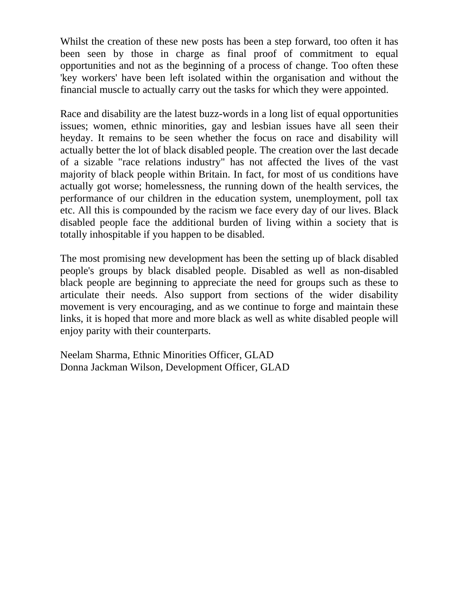Whilst the creation of these new posts has been a step forward, too often it has been seen by those in charge as final proof of commitment to equal opportunities and not as the beginning of a process of change. Too often these 'key workers' have been left isolated within the organisation and without the financial muscle to actually carry out the tasks for which they were appointed.

Race and disability are the latest buzz-words in a long list of equal opportunities issues; women, ethnic minorities, gay and lesbian issues have all seen their heyday. It remains to be seen whether the focus on race and disability will actually better the lot of black disabled people. The creation over the last decade of a sizable "race relations industry" has not affected the lives of the vast majority of black people within Britain. In fact, for most of us conditions have actually got worse; homelessness, the running down of the health services, the performance of our children in the education system, unemployment, poll tax etc. All this is compounded by the racism we face every day of our lives. Black disabled people face the additional burden of living within a society that is totally inhospitable if you happen to be disabled.

The most promising new development has been the setting up of black disabled people's groups by black disabled people. Disabled as well as non-disabled black people are beginning to appreciate the need for groups such as these to articulate their needs. Also support from sections of the wider disability movement is very encouraging, and as we continue to forge and maintain these links, it is hoped that more and more black as well as white disabled people will enjoy parity with their counterparts.

Neelam Sharma, Ethnic Minorities Officer, GLAD Donna Jackman Wilson, Development Officer, GLAD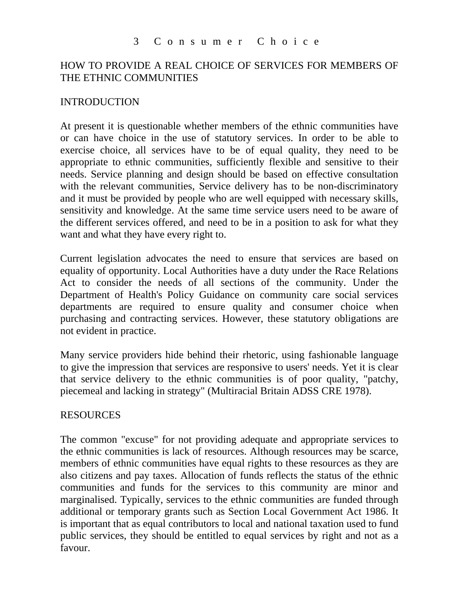#### 3 Consumer Choice

### HOW TO PROVIDE A REAL CHOICE OF SERVICES FOR MEMBERS OF THE ETHNIC COMMUNITIES

#### INTRODUCTION

At present it is questionable whether members of the ethnic communities have or can have choice in the use of statutory services. In order to be able to exercise choice, all services have to be of equal quality, they need to be appropriate to ethnic communities, sufficiently flexible and sensitive to their needs. Service planning and design should be based on effective consultation with the relevant communities, Service delivery has to be non-discriminatory and it must be provided by people who are well equipped with necessary skills, sensitivity and knowledge. At the same time service users need to be aware of the different services offered, and need to be in a position to ask for what they want and what they have every right to.

Current legislation advocates the need to ensure that services are based on equality of opportunity. Local Authorities have a duty under the Race Relations Act to consider the needs of all sections of the community. Under the Department of Health's Policy Guidance on community care social services departments are required to ensure quality and consumer choice when purchasing and contracting services. However, these statutory obligations are not evident in practice.

Many service providers hide behind their rhetoric, using fashionable language to give the impression that services are responsive to users' needs. Yet it is clear that service delivery to the ethnic communities is of poor quality, "patchy, piecemeal and lacking in strategy" (Multiracial Britain ADSS CRE 1978).

#### RESOURCES

The common "excuse" for not providing adequate and appropriate services to the ethnic communities is lack of resources. Although resources may be scarce, members of ethnic communities have equal rights to these resources as they are also citizens and pay taxes. Allocation of funds reflects the status of the ethnic communities and funds for the services to this community are minor and marginalised. Typically, services to the ethnic communities are funded through additional or temporary grants such as Section Local Government Act 1986. It is important that as equal contributors to local and national taxation used to fund public services, they should be entitled to equal services by right and not as a favour.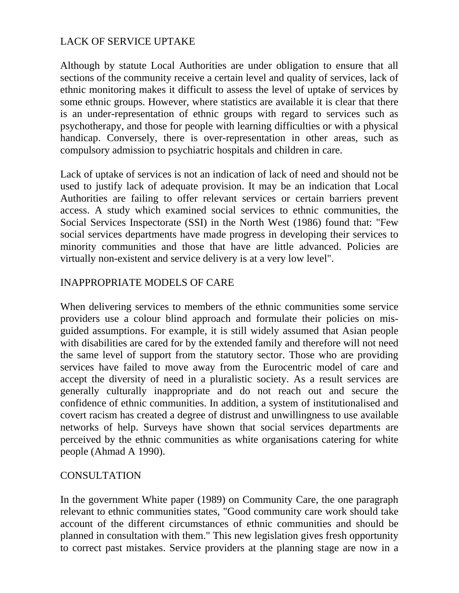## LACK OF SERVICE UPTAKE

Although by statute Local Authorities are under obligation to ensure that all sections of the community receive a certain level and quality of services, lack of ethnic monitoring makes it difficult to assess the level of uptake of services by some ethnic groups. However, where statistics are available it is clear that there is an under-representation of ethnic groups with regard to services such as psychotherapy, and those for people with learning difficulties or with a physical handicap. Conversely, there is over-representation in other areas, such as compulsory admission to psychiatric hospitals and children in care.

Lack of uptake of services is not an indication of lack of need and should not be used to justify lack of adequate provision. It may be an indication that Local Authorities are failing to offer relevant services or certain barriers prevent access. A study which examined social services to ethnic communities, the Social Services Inspectorate (SSI) in the North West (1986) found that: "Few social services departments have made progress in developing their services to minority communities and those that have are little advanced. Policies are virtually non-existent and service delivery is at a very low level".

## INAPPROPRIATE MODELS OF CARE

When delivering services to members of the ethnic communities some service providers use a colour blind approach and formulate their policies on misguided assumptions. For example, it is still widely assumed that Asian people with disabilities are cared for by the extended family and therefore will not need the same level of support from the statutory sector. Those who are providing services have failed to move away from the Eurocentric model of care and accept the diversity of need in a pluralistic society. As a result services are generally culturally inappropriate and do not reach out and secure the confidence of ethnic communities. In addition, a system of institutionalised and covert racism has created a degree of distrust and unwillingness to use available networks of help. Surveys have shown that social services departments are perceived by the ethnic communities as white organisations catering for white people (Ahmad A 1990).

#### **CONSULTATION**

In the government White paper (1989) on Community Care, the one paragraph relevant to ethnic communities states, "Good community care work should take account of the different circumstances of ethnic communities and should be planned in consultation with them." This new legislation gives fresh opportunity to correct past mistakes. Service providers at the planning stage are now in a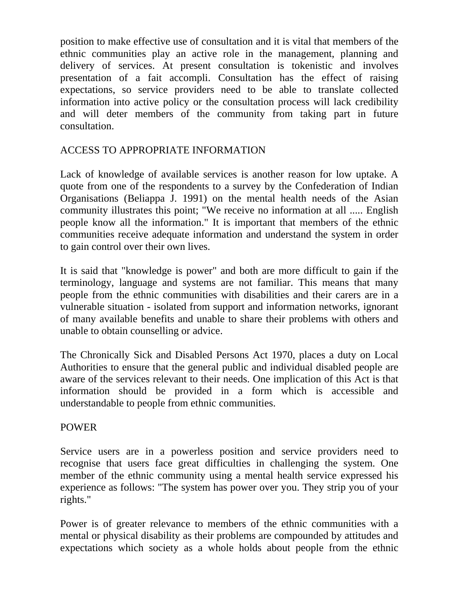position to make effective use of consultation and it is vital that members of the ethnic communities play an active role in the management, planning and delivery of services. At present consultation is tokenistic and involves presentation of a fait accompli. Consultation has the effect of raising expectations, so service providers need to be able to translate collected information into active policy or the consultation process will lack credibility and will deter members of the community from taking part in future consultation.

## ACCESS TO APPROPRIATE INFORMATION

Lack of knowledge of available services is another reason for low uptake. A quote from one of the respondents to a survey by the Confederation of Indian Organisations (Beliappa J. 1991) on the mental health needs of the Asian community illustrates this point; "We receive no information at all ..... English people know all the information." It is important that members of the ethnic communities receive adequate information and understand the system in order to gain control over their own lives.

It is said that "knowledge is power" and both are more difficult to gain if the terminology, language and systems are not familiar. This means that many people from the ethnic communities with disabilities and their carers are in a vulnerable situation - isolated from support and information networks, ignorant of many available benefits and unable to share their problems with others and unable to obtain counselling or advice.

The Chronically Sick and Disabled Persons Act 1970, places a duty on Local Authorities to ensure that the general public and individual disabled people are aware of the services relevant to their needs. One implication of this Act is that information should be provided in a form which is accessible and understandable to people from ethnic communities.

## POWER

Service users are in a powerless position and service providers need to recognise that users face great difficulties in challenging the system. One member of the ethnic community using a mental health service expressed his experience as follows: "The system has power over you. They strip you of your rights."

Power is of greater relevance to members of the ethnic communities with a mental or physical disability as their problems are compounded by attitudes and expectations which society as a whole holds about people from the ethnic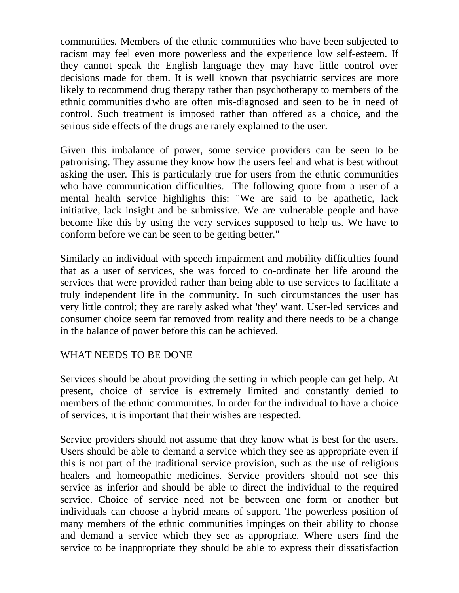communities. Members of the ethnic communities who have been subjected to racism may feel even more powerless and the experience low self-esteem. If they cannot speak the English language they may have little control over decisions made for them. It is well known that psychiatric services are more likely to recommend drug therapy rather than psychotherapy to members of the ethnic communities d who are often mis-diagnosed and seen to be in need of control. Such treatment is imposed rather than offered as a choice, and the serious side effects of the drugs are rarely explained to the user.

Given this imbalance of power, some service providers can be seen to be patronising. They assume they know how the users feel and what is best without asking the user. This is particularly true for users from the ethnic communities who have communication difficulties. The following quote from a user of a mental health service highlights this: "We are said to be apathetic, lack initiative, lack insight and be submissive. We are vulnerable people and have become like this by using the very services supposed to help us. We have to conform before we can be seen to be getting better."

Similarly an individual with speech impairment and mobility difficulties found that as a user of services, she was forced to co-ordinate her life around the services that were provided rather than being able to use services to facilitate a truly independent life in the community. In such circumstances the user has very little control; they are rarely asked what 'they' want. User-led services and consumer choice seem far removed from reality and there needs to be a change in the balance of power before this can be achieved.

## WHAT NEEDS TO BE DONE

Services should be about providing the setting in which people can get help. At present, choice of service is extremely limited and constantly denied to members of the ethnic communities. In order for the individual to have a choice of services, it is important that their wishes are respected.

Service providers should not assume that they know what is best for the users. Users should be able to demand a service which they see as appropriate even if this is not part of the traditional service provision, such as the use of religious healers and homeopathic medicines. Service providers should not see this service as inferior and should be able to direct the individual to the required service. Choice of service need not be between one form or another but individuals can choose a hybrid means of support. The powerless position of many members of the ethnic communities impinges on their ability to choose and demand a service which they see as appropriate. Where users find the service to be inappropriate they should be able to express their dissatisfaction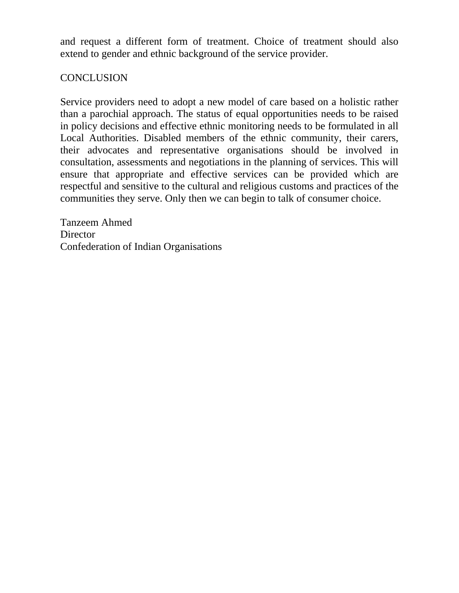and request a different form of treatment. Choice of treatment should also extend to gender and ethnic background of the service provider.

## **CONCLUSION**

Service providers need to adopt a new model of care based on a holistic rather than a parochial approach. The status of equal opportunities needs to be raised in policy decisions and effective ethnic monitoring needs to be formulated in all Local Authorities. Disabled members of the ethnic community, their carers, their advocates and representative organisations should be involved in consultation, assessments and negotiations in the planning of services. This will ensure that appropriate and effective services can be provided which are respectful and sensitive to the cultural and religious customs and practices of the communities they serve. Only then we can begin to talk of consumer choice.

Tanzeem Ahmed **Director** Confederation of Indian Organisations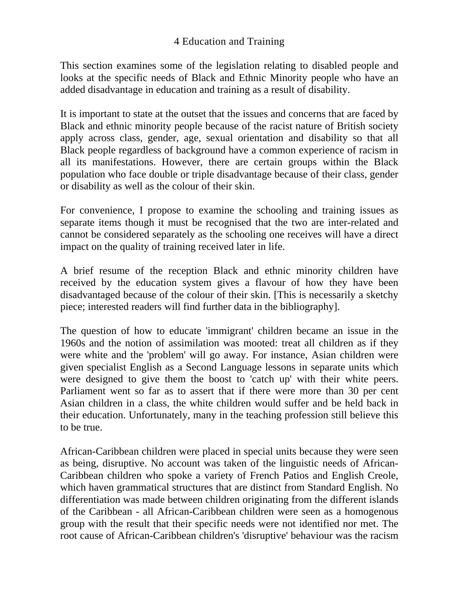This section examines some of the legislation relating to disabled people and looks at the specific needs of Black and Ethnic Minority people who have an added disadvantage in education and training as a result of disability.

It is important to state at the outset that the issues and concerns that are faced by Black and ethnic minority people because of the racist nature of British society apply across class, gender, age, sexual orientation and disability so that all Black people regardless of background have a common experience of racism in all its manifestations. However, there are certain groups within the Black population who face double or triple disadvantage because of their class, gender or disability as well as the colour of their skin.

For convenience, I propose to examine the schooling and training issues as separate items though it must be recognised that the two are inter-related and cannot be considered separately as the schooling one receives will have a direct impact on the quality of training received later in life.

A brief resume of the reception Black and ethnic minority children have received by the education system gives a flavour of how they have been disadvantaged because of the colour of their skin. [This is necessarily a sketchy piece; interested readers will find further data in the bibliography].

The question of how to educate 'immigrant' children became an issue in the 1960s and the notion of assimilation was mooted: treat all children as if they were white and the 'problem' will go away. For instance, Asian children were given specialist English as a Second Language lessons in separate units which were designed to give them the boost to 'catch up' with their white peers. Parliament went so far as to assert that if there were more than 30 per cent Asian children in a class, the white children would suffer and be held back in their education. Unfortunately, many in the teaching profession still believe this to be true.

African-Caribbean children were placed in special units because they were seen as being, disruptive. No account was taken of the linguistic needs of African-Caribbean children who spoke a variety of French Patios and English Creole, which haven grammatical structures that are distinct from Standard English. No differentiation was made between children originating from the different islands of the Caribbean - all African-Caribbean children were seen as a homogenous group with the result that their specific needs were not identified nor met. The root cause of African-Caribbean children's 'disruptive' behaviour was the racism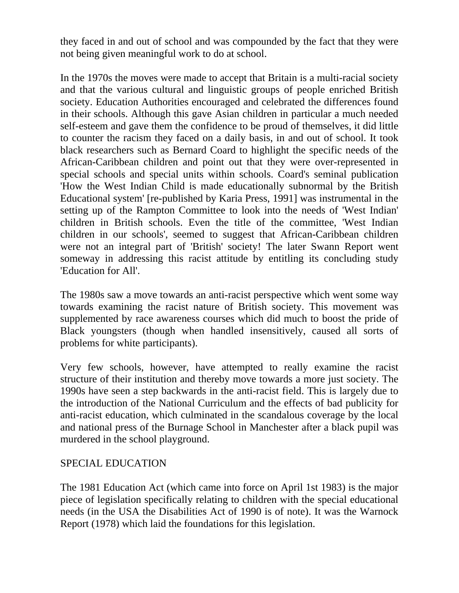they faced in and out of school and was compounded by the fact that they were not being given meaningful work to do at school.

In the 1970s the moves were made to accept that Britain is a multi-racial society and that the various cultural and linguistic groups of people enriched British society. Education Authorities encouraged and celebrated the differences found in their schools. Although this gave Asian children in particular a much needed self-esteem and gave them the confidence to be proud of themselves, it did little to counter the racism they faced on a daily basis, in and out of school. It took black researchers such as Bernard Coard to highlight the specific needs of the African-Caribbean children and point out that they were over-represented in special schools and special units within schools. Coard's seminal publication 'How the West Indian Child is made educationally subnormal by the British Educational system' [re-published by Karia Press, 1991] was instrumental in the setting up of the Rampton Committee to look into the needs of 'West Indian' children in British schools. Even the title of the committee, 'West Indian children in our schools', seemed to suggest that African-Caribbean children were not an integral part of 'British' society! The later Swann Report went someway in addressing this racist attitude by entitling its concluding study 'Education for All'.

The 1980s saw a move towards an anti-racist perspective which went some way towards examining the racist nature of British society. This movement was supplemented by race awareness courses which did much to boost the pride of Black youngsters (though when handled insensitively, caused all sorts of problems for white participants).

Very few schools, however, have attempted to really examine the racist structure of their institution and thereby move towards a more just society. The 1990s have seen a step backwards in the anti-racist field. This is largely due to the introduction of the National Curriculum and the effects of bad publicity for anti-racist education, which culminated in the scandalous coverage by the local and national press of the Burnage School in Manchester after a black pupil was murdered in the school playground.

#### SPECIAL EDUCATION

The 1981 Education Act (which came into force on April 1st 1983) is the major piece of legislation specifically relating to children with the special educational needs (in the USA the Disabilities Act of 1990 is of note). It was the Warnock Report (1978) which laid the foundations for this legislation.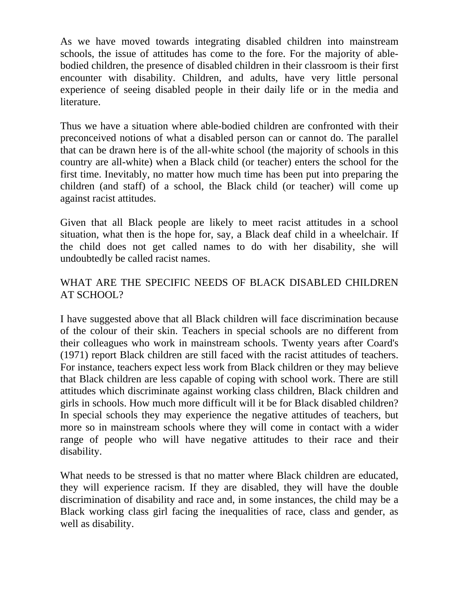As we have moved towards integrating disabled children into mainstream schools, the issue of attitudes has come to the fore. For the majority of ablebodied children, the presence of disabled children in their classroom is their first encounter with disability. Children, and adults, have very little personal experience of seeing disabled people in their daily life or in the media and literature.

Thus we have a situation where able-bodied children are confronted with their preconceived notions of what a disabled person can or cannot do. The parallel that can be drawn here is of the all-white school (the majority of schools in this country are all-white) when a Black child (or teacher) enters the school for the first time. Inevitably, no matter how much time has been put into preparing the children (and staff) of a school, the Black child (or teacher) will come up against racist attitudes.

Given that all Black people are likely to meet racist attitudes in a school situation, what then is the hope for, say, a Black deaf child in a wheelchair. If the child does not get called names to do with her disability, she will undoubtedly be called racist names.

## WHAT ARE THE SPECIFIC NEEDS OF BLACK DISABLED CHILDREN AT SCHOOL?

I have suggested above that all Black children will face discrimination because of the colour of their skin. Teachers in special schools are no different from their colleagues who work in mainstream schools. Twenty years after Coard's (1971) report Black children are still faced with the racist attitudes of teachers. For instance, teachers expect less work from Black children or they may believe that Black children are less capable of coping with school work. There are still attitudes which discriminate against working class children, Black children and girls in schools. How much more difficult will it be for Black disabled children? In special schools they may experience the negative attitudes of teachers, but more so in mainstream schools where they will come in contact with a wider range of people who will have negative attitudes to their race and their disability.

What needs to be stressed is that no matter where Black children are educated, they will experience racism. If they are disabled, they will have the double discrimination of disability and race and, in some instances, the child may be a Black working class girl facing the inequalities of race, class and gender, as well as disability.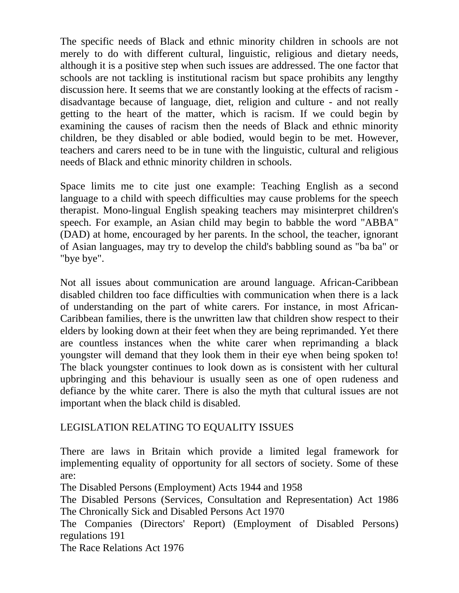The specific needs of Black and ethnic minority children in schools are not merely to do with different cultural, linguistic, religious and dietary needs, although it is a positive step when such issues are addressed. The one factor that schools are not tackling is institutional racism but space prohibits any lengthy discussion here. It seems that we are constantly looking at the effects of racism disadvantage because of language, diet, religion and culture - and not really getting to the heart of the matter, which is racism. If we could begin by examining the causes of racism then the needs of Black and ethnic minority children, be they disabled or able bodied, would begin to be met. However, teachers and carers need to be in tune with the linguistic, cultural and religious needs of Black and ethnic minority children in schools.

Space limits me to cite just one example: Teaching English as a second language to a child with speech difficulties may cause problems for the speech therapist. Mono-lingual English speaking teachers may misinterpret children's speech. For example, an Asian child may begin to babble the word "ABBA" (DAD) at home, encouraged by her parents. In the school, the teacher, ignorant of Asian languages, may try to develop the child's babbling sound as "ba ba" or "bye bye".

Not all issues about communication are around language. African-Caribbean disabled children too face difficulties with communication when there is a lack of understanding on the part of white carers. For instance, in most African-Caribbean families, there is the unwritten law that children show respect to their elders by looking down at their feet when they are being reprimanded. Yet there are countless instances when the white carer when reprimanding a black youngster will demand that they look them in their eye when being spoken to! The black youngster continues to look down as is consistent with her cultural upbringing and this behaviour is usually seen as one of open rudeness and defiance by the white carer. There is also the myth that cultural issues are not important when the black child is disabled.

## LEGISLATION RELATING TO EQUALITY ISSUES

There are laws in Britain which provide a limited legal framework for implementing equality of opportunity for all sectors of society. Some of these are:

The Disabled Persons (Employment) Acts 1944 and 1958

The Disabled Persons (Services, Consultation and Representation) Act 1986 The Chronically Sick and Disabled Persons Act 1970

The Companies (Directors' Report) (Employment of Disabled Persons) regulations 191

The Race Relations Act 1976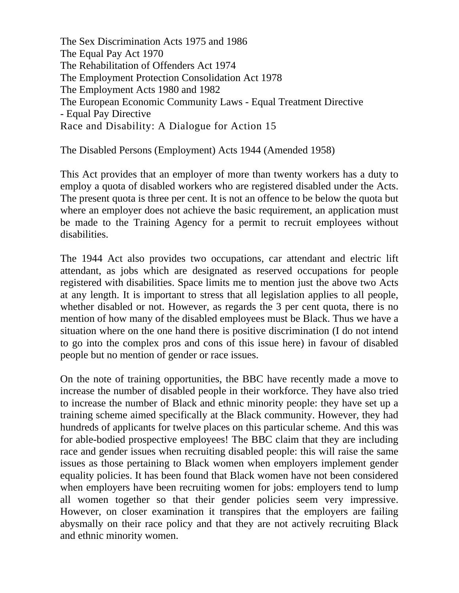The Sex Discrimination Acts 1975 and 1986 The Equal Pay Act 1970 The Rehabilitation of Offenders Act 1974 The Employment Protection Consolidation Act 1978 The Employment Acts 1980 and 1982 The European Economic Community Laws - Equal Treatment Directive - Equal Pay Directive Race and Disability: A Dialogue for Action 15

The Disabled Persons (Employment) Acts 1944 (Amended 1958)

This Act provides that an employer of more than twenty workers has a duty to employ a quota of disabled workers who are registered disabled under the Acts. The present quota is three per cent. It is not an offence to be below the quota but where an employer does not achieve the basic requirement, an application must be made to the Training Agency for a permit to recruit employees without disabilities.

The 1944 Act also provides two occupations, car attendant and electric lift attendant, as jobs which are designated as reserved occupations for people registered with disabilities. Space limits me to mention just the above two Acts at any length. It is important to stress that all legislation applies to all people, whether disabled or not. However, as regards the 3 per cent quota, there is no mention of how many of the disabled employees must be Black. Thus we have a situation where on the one hand there is positive discrimination (I do not intend to go into the complex pros and cons of this issue here) in favour of disabled people but no mention of gender or race issues.

On the note of training opportunities, the BBC have recently made a move to increase the number of disabled people in their workforce. They have also tried to increase the number of Black and ethnic minority people: they have set up a training scheme aimed specifically at the Black community. However, they had hundreds of applicants for twelve places on this particular scheme. And this was for able-bodied prospective employees! The BBC claim that they are including race and gender issues when recruiting disabled people: this will raise the same issues as those pertaining to Black women when employers implement gender equality policies. It has been found that Black women have not been considered when employers have been recruiting women for jobs: employers tend to lump all women together so that their gender policies seem very impressive. However, on closer examination it transpires that the employers are failing abysmally on their race policy and that they are not actively recruiting Black and ethnic minority women.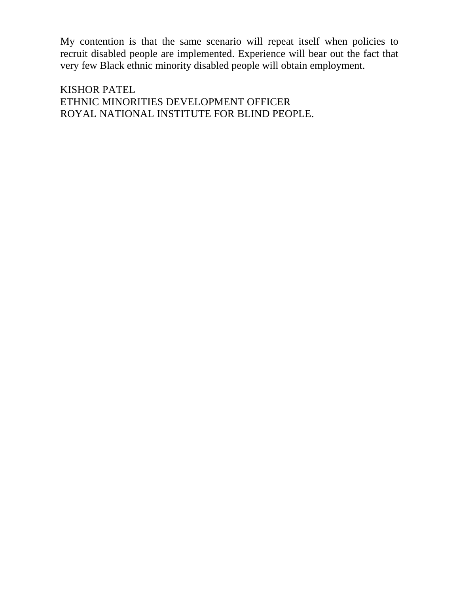My contention is that the same scenario will repeat itself when policies to recruit disabled people are implemented. Experience will bear out the fact that very few Black ethnic minority disabled people will obtain employment.

KISHOR PATEL ETHNIC MINORITIES DEVELOPMENT OFFICER ROYAL NATIONAL INSTITUTE FOR BLIND PEOPLE.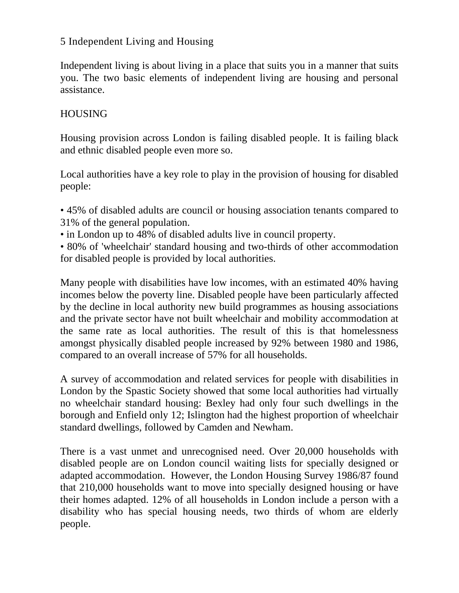### 5 Independent Living and Housing

Independent living is about living in a place that suits you in a manner that suits you. The two basic elements of independent living are housing and personal assistance.

### HOUSING

Housing provision across London is failing disabled people. It is failing black and ethnic disabled people even more so.

Local authorities have a key role to play in the provision of housing for disabled people:

• 45% of disabled adults are council or housing association tenants compared to 31% of the general population.

- in London up to 48% of disabled adults live in council property.
- 80% of 'wheelchair' standard housing and two-thirds of other accommodation for disabled people is provided by local authorities.

Many people with disabilities have low incomes, with an estimated 40% having incomes below the poverty line. Disabled people have been particularly affected by the decline in local authority new build programmes as housing associations and the private sector have not built wheelchair and mobility accommodation at the same rate as local authorities. The result of this is that homelessness amongst physically disabled people increased by 92% between 1980 and 1986, compared to an overall increase of 57% for all households.

A survey of accommodation and related services for people with disabilities in London by the Spastic Society showed that some local authorities had virtually no wheelchair standard housing: Bexley had only four such dwellings in the borough and Enfield only 12; Islington had the highest proportion of wheelchair standard dwellings, followed by Camden and Newham.

There is a vast unmet and unrecognised need. Over 20,000 households with disabled people are on London council waiting lists for specially designed or adapted accommodation. However, the London Housing Survey 1986/87 found that 210,000 households want to move into specially designed housing or have their homes adapted. 12% of all households in London include a person with a disability who has special housing needs, two thirds of whom are elderly people.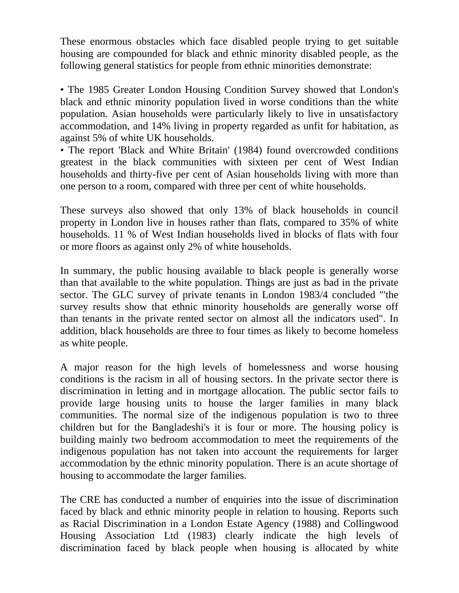These enormous obstacles which face disabled people trying to get suitable housing are compounded for black and ethnic minority disabled people, as the following general statistics for people from ethnic minorities demonstrate:

• The 1985 Greater London Housing Condition Survey showed that London's black and ethnic minority population lived in worse conditions than the white population. Asian households were particularly likely to live in unsatisfactory accommodation, and 14% living in property regarded as unfit for habitation, as against 5% of white UK households.

• The report 'Black and White Britain' (1984) found overcrowded conditions greatest in the black communities with sixteen per cent of West Indian households and thirty-five per cent of Asian households living with more than one person to a room, compared with three per cent of white households.

These surveys also showed that only 13% of black households in council property in London live in houses rather than flats, compared to 35% of white households. 11 % of West Indian households lived in blocks of flats with four or more floors as against only 2% of white households.

In summary, the public housing available to black people is generally worse than that available to the white population. Things are just as bad in the private sector. The GLC survey of private tenants in London 1983/4 concluded "'the survey results show that ethnic minority households are generally worse off than tenants in the private rented sector on almost all the indicators used". In addition, black households are three to four times as likely to become homeless as white people.

A major reason for the high levels of homelessness and worse housing conditions is the racism in all of housing sectors. In the private sector there is discrimination in letting and in mortgage allocation. The public sector fails to provide large housing units to house the larger families in many black communities. The normal size of the indigenous population is two to three children but for the Bangladeshi's it is four or more. The housing policy is building mainly two bedroom accommodation to meet the requirements of the indigenous population has not taken into account the requirements for larger accommodation by the ethnic minority population. There is an acute shortage of housing to accommodate the larger families.

The CRE has conducted a number of enquiries into the issue of discrimination faced by black and ethnic minority people in relation to housing. Reports such as Racial Discrimination in a London Estate Agency (1988) and Collingwood Housing Association Ltd (1983) clearly indicate the high levels of discrimination faced by black people when housing is allocated by white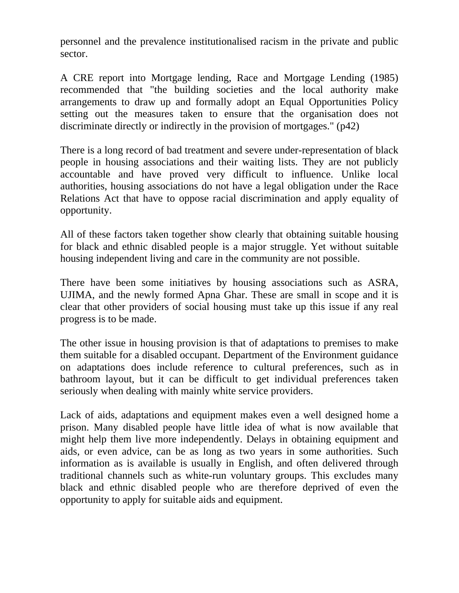personnel and the prevalence institutionalised racism in the private and public sector.

A CRE report into Mortgage lending, Race and Mortgage Lending (1985) recommended that "the building societies and the local authority make arrangements to draw up and formally adopt an Equal Opportunities Policy setting out the measures taken to ensure that the organisation does not discriminate directly or indirectly in the provision of mortgages." (p42)

There is a long record of bad treatment and severe under-representation of black people in housing associations and their waiting lists. They are not publicly accountable and have proved very difficult to influence. Unlike local authorities, housing associations do not have a legal obligation under the Race Relations Act that have to oppose racial discrimination and apply equality of opportunity.

All of these factors taken together show clearly that obtaining suitable housing for black and ethnic disabled people is a major struggle. Yet without suitable housing independent living and care in the community are not possible.

There have been some initiatives by housing associations such as ASRA, UJIMA, and the newly formed Apna Ghar. These are small in scope and it is clear that other providers of social housing must take up this issue if any real progress is to be made.

The other issue in housing provision is that of adaptations to premises to make them suitable for a disabled occupant. Department of the Environment guidance on adaptations does include reference to cultural preferences, such as in bathroom layout, but it can be difficult to get individual preferences taken seriously when dealing with mainly white service providers.

Lack of aids, adaptations and equipment makes even a well designed home a prison. Many disabled people have little idea of what is now available that might help them live more independently. Delays in obtaining equipment and aids, or even advice, can be as long as two years in some authorities. Such information as is available is usually in English, and often delivered through traditional channels such as white-run voluntary groups. This excludes many black and ethnic disabled people who are therefore deprived of even the opportunity to apply for suitable aids and equipment.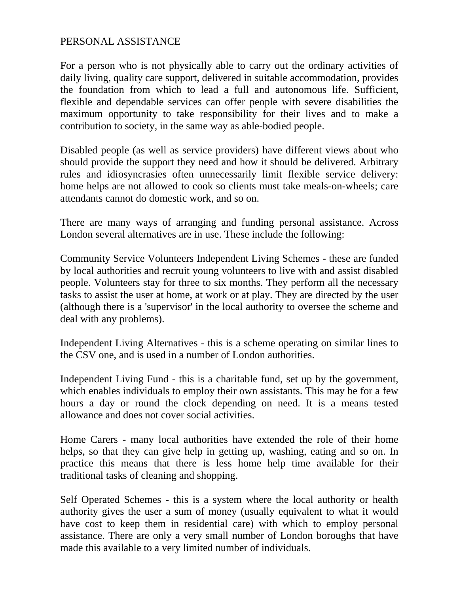#### PERSONAL ASSISTANCE

For a person who is not physically able to carry out the ordinary activities of daily living, quality care support, delivered in suitable accommodation, provides the foundation from which to lead a full and autonomous life. Sufficient, flexible and dependable services can offer people with severe disabilities the maximum opportunity to take responsibility for their lives and to make a contribution to society, in the same way as able-bodied people.

Disabled people (as well as service providers) have different views about who should provide the support they need and how it should be delivered. Arbitrary rules and idiosyncrasies often unnecessarily limit flexible service delivery: home helps are not allowed to cook so clients must take meals-on-wheels; care attendants cannot do domestic work, and so on.

There are many ways of arranging and funding personal assistance. Across London several alternatives are in use. These include the following:

Community Service Volunteers Independent Living Schemes - these are funded by local authorities and recruit young volunteers to live with and assist disabled people. Volunteers stay for three to six months. They perform all the necessary tasks to assist the user at home, at work or at play. They are directed by the user (although there is a 'supervisor' in the local authority to oversee the scheme and deal with any problems).

Independent Living Alternatives - this is a scheme operating on similar lines to the CSV one, and is used in a number of London authorities.

Independent Living Fund - this is a charitable fund, set up by the government, which enables individuals to employ their own assistants. This may be for a few hours a day or round the clock depending on need. It is a means tested allowance and does not cover social activities.

Home Carers - many local authorities have extended the role of their home helps, so that they can give help in getting up, washing, eating and so on. In practice this means that there is less home help time available for their traditional tasks of cleaning and shopping.

Self Operated Schemes - this is a system where the local authority or health authority gives the user a sum of money (usually equivalent to what it would have cost to keep them in residential care) with which to employ personal assistance. There are only a very small number of London boroughs that have made this available to a very limited number of individuals.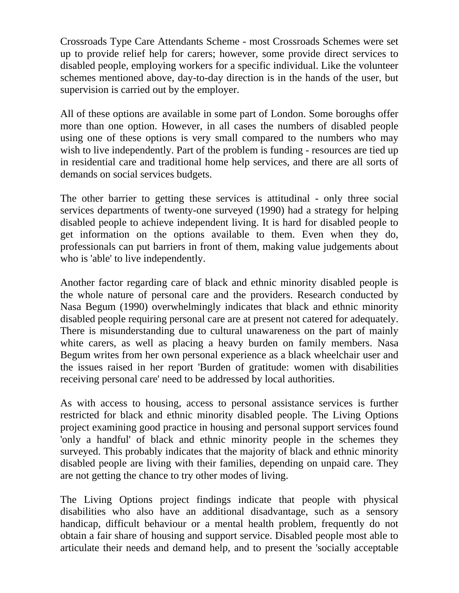Crossroads Type Care Attendants Scheme - most Crossroads Schemes were set up to provide relief help for carers; however, some provide direct services to disabled people, employing workers for a specific individual. Like the volunteer schemes mentioned above, day-to-day direction is in the hands of the user, but supervision is carried out by the employer.

All of these options are available in some part of London. Some boroughs offer more than one option. However, in all cases the numbers of disabled people using one of these options is very small compared to the numbers who may wish to live independently. Part of the problem is funding - resources are tied up in residential care and traditional home help services, and there are all sorts of demands on social services budgets.

The other barrier to getting these services is attitudinal - only three social services departments of twenty-one surveyed (1990) had a strategy for helping disabled people to achieve independent living. It is hard for disabled people to get information on the options available to them. Even when they do, professionals can put barriers in front of them, making value judgements about who is 'able' to live independently.

Another factor regarding care of black and ethnic minority disabled people is the whole nature of personal care and the providers. Research conducted by Nasa Begum (1990) overwhelmingly indicates that black and ethnic minority disabled people requiring personal care are at present not catered for adequately. There is misunderstanding due to cultural unawareness on the part of mainly white carers, as well as placing a heavy burden on family members. Nasa Begum writes from her own personal experience as a black wheelchair user and the issues raised in her report 'Burden of gratitude: women with disabilities receiving personal care' need to be addressed by local authorities.

As with access to housing, access to personal assistance services is further restricted for black and ethnic minority disabled people. The Living Options project examining good practice in housing and personal support services found 'only a handful' of black and ethnic minority people in the schemes they surveyed. This probably indicates that the majority of black and ethnic minority disabled people are living with their families, depending on unpaid care. They are not getting the chance to try other modes of living.

The Living Options project findings indicate that people with physical disabilities who also have an additional disadvantage, such as a sensory handicap, difficult behaviour or a mental health problem, frequently do not obtain a fair share of housing and support service. Disabled people most able to articulate their needs and demand help, and to present the 'socially acceptable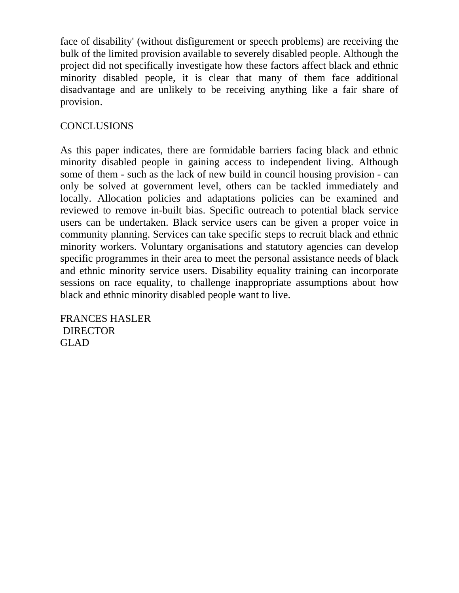face of disability' (without disfigurement or speech problems) are receiving the bulk of the limited provision available to severely disabled people. Although the project did not specifically investigate how these factors affect black and ethnic minority disabled people, it is clear that many of them face additional disadvantage and are unlikely to be receiving anything like a fair share of provision.

## **CONCLUSIONS**

As this paper indicates, there are formidable barriers facing black and ethnic minority disabled people in gaining access to independent living. Although some of them - such as the lack of new build in council housing provision - can only be solved at government level, others can be tackled immediately and locally. Allocation policies and adaptations policies can be examined and reviewed to remove in-built bias. Specific outreach to potential black service users can be undertaken. Black service users can be given a proper voice in community planning. Services can take specific steps to recruit black and ethnic minority workers. Voluntary organisations and statutory agencies can develop specific programmes in their area to meet the personal assistance needs of black and ethnic minority service users. Disability equality training can incorporate sessions on race equality, to challenge inappropriate assumptions about how black and ethnic minority disabled people want to live.

FRANCES HASLER DIRECTOR GLAD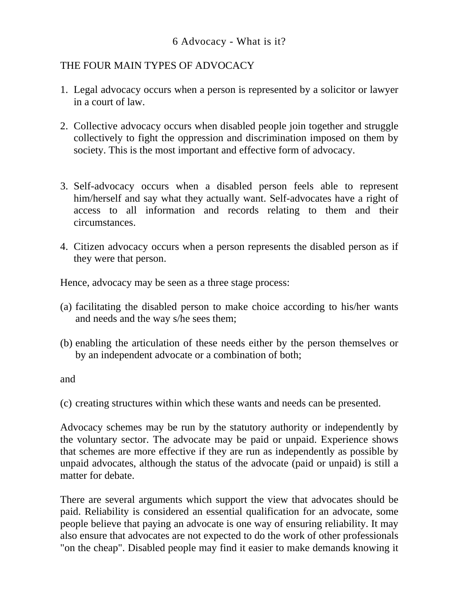## THE FOUR MAIN TYPES OF ADVOCACY

- 1. Legal advocacy occurs when a person is represented by a solicitor or lawyer in a court of law.
- 2. Collective advocacy occurs when disabled people join together and struggle collectively to fight the oppression and discrimination imposed on them by society. This is the most important and effective form of advocacy.
- 3. Self-advocacy occurs when a disabled person feels able to represent him/herself and say what they actually want. Self-advocates have a right of access to all information and records relating to them and their circumstances.
- 4. Citizen advocacy occurs when a person represents the disabled person as if they were that person.

Hence, advocacy may be seen as a three stage process:

- (a) facilitating the disabled person to make choice according to his/her wants and needs and the way s/he sees them;
- (b) enabling the articulation of these needs either by the person themselves or by an independent advocate or a combination of both;

and

(c) creating structures within which these wants and needs can be presented.

Advocacy schemes may be run by the statutory authority or independently by the voluntary sector. The advocate may be paid or unpaid. Experience shows that schemes are more effective if they are run as independently as possible by unpaid advocates, although the status of the advocate (paid or unpaid) is still a matter for debate.

There are several arguments which support the view that advocates should be paid. Reliability is considered an essential qualification for an advocate, some people believe that paying an advocate is one way of ensuring reliability. It may also ensure that advocates are not expected to do the work of other professionals "on the cheap". Disabled people may find it easier to make demands knowing it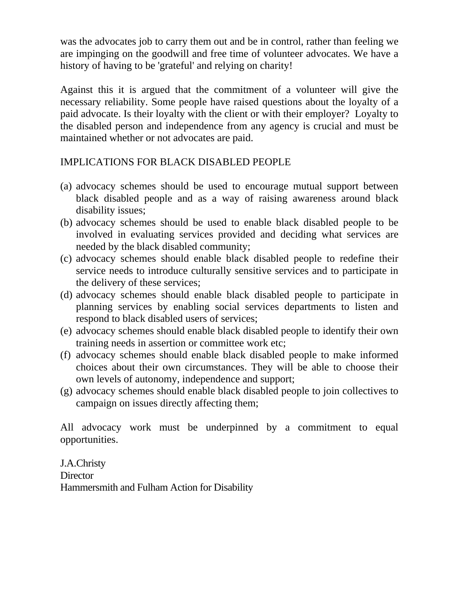was the advocates job to carry them out and be in control, rather than feeling we are impinging on the goodwill and free time of volunteer advocates. We have a history of having to be 'grateful' and relying on charity!

Against this it is argued that the commitment of a volunteer will give the necessary reliability. Some people have raised questions about the loyalty of a paid advocate. Is their loyalty with the client or with their employer? Loyalty to the disabled person and independence from any agency is crucial and must be maintained whether or not advocates are paid.

## IMPLICATIONS FOR BLACK DISABLED PEOPLE

- (a) advocacy schemes should be used to encourage mutual support between black disabled people and as a way of raising awareness around black disability issues;
- (b) advocacy schemes should be used to enable black disabled people to be involved in evaluating services provided and deciding what services are needed by the black disabled community;
- (c) advocacy schemes should enable black disabled people to redefine their service needs to introduce culturally sensitive services and to participate in the delivery of these services;
- (d) advocacy schemes should enable black disabled people to participate in planning services by enabling social services departments to listen and respond to black disabled users of services;
- (e) advocacy schemes should enable black disabled people to identify their own training needs in assertion or committee work etc;
- (f) advocacy schemes should enable black disabled people to make informed choices about their own circumstances. They will be able to choose their own levels of autonomy, independence and support;
- (g) advocacy schemes should enable black disabled people to join collectives to campaign on issues directly affecting them;

All advocacy work must be underpinned by a commitment to equal opportunities.

J.A.Christy **Director** Hammersmith and Fulham Action for Disability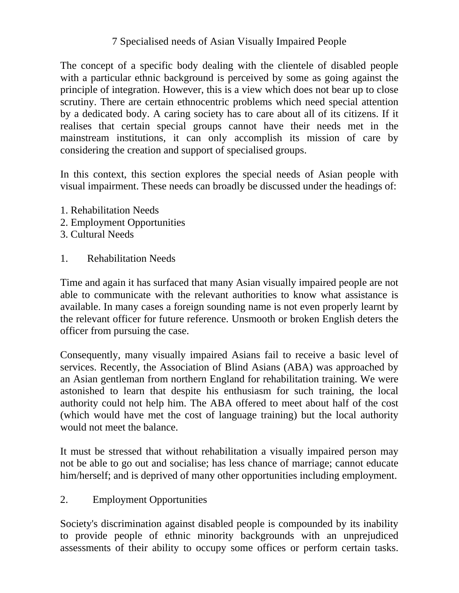## 7 Specialised needs of Asian Visually Impaired People

The concept of a specific body dealing with the clientele of disabled people with a particular ethnic background is perceived by some as going against the principle of integration. However, this is a view which does not bear up to close scrutiny. There are certain ethnocentric problems which need special attention by a dedicated body. A caring society has to care about all of its citizens. If it realises that certain special groups cannot have their needs met in the mainstream institutions, it can only accomplish its mission of care by considering the creation and support of specialised groups.

In this context, this section explores the special needs of Asian people with visual impairment. These needs can broadly be discussed under the headings of:

- 1. Rehabilitation Needs
- 2. Employment Opportunities
- 3. Cultural Needs
- 1. Rehabilitation Needs

Time and again it has surfaced that many Asian visually impaired people are not able to communicate with the relevant authorities to know what assistance is available. In many cases a foreign sounding name is not even properly learnt by the relevant officer for future reference. Unsmooth or broken English deters the officer from pursuing the case.

Consequently, many visually impaired Asians fail to receive a basic level of services. Recently, the Association of Blind Asians (ABA) was approached by an Asian gentleman from northern England for rehabilitation training. We were astonished to learn that despite his enthusiasm for such training, the local authority could not help him. The ABA offered to meet about half of the cost (which would have met the cost of language training) but the local authority would not meet the balance.

It must be stressed that without rehabilitation a visually impaired person may not be able to go out and socialise; has less chance of marriage; cannot educate him/herself; and is deprived of many other opportunities including employment.

2. Employment Opportunities

Society's discrimination against disabled people is compounded by its inability to provide people of ethnic minority backgrounds with an unprejudiced assessments of their ability to occupy some offices or perform certain tasks.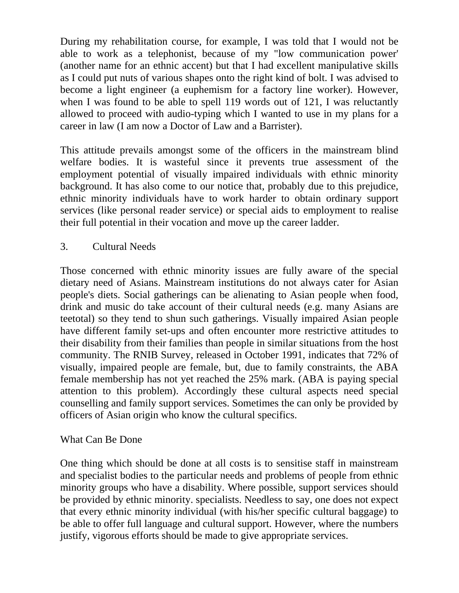During my rehabilitation course, for example, I was told that I would not be able to work as a telephonist, because of my "low communication power' (another name for an ethnic accent) but that I had excellent manipulative skills as I could put nuts of various shapes onto the right kind of bolt. I was advised to become a light engineer (a euphemism for a factory line worker). However, when I was found to be able to spell 119 words out of 121, I was reluctantly allowed to proceed with audio-typing which I wanted to use in my plans for a career in law (I am now a Doctor of Law and a Barrister).

This attitude prevails amongst some of the officers in the mainstream blind welfare bodies. It is wasteful since it prevents true assessment of the employment potential of visually impaired individuals with ethnic minority background. It has also come to our notice that, probably due to this prejudice, ethnic minority individuals have to work harder to obtain ordinary support services (like personal reader service) or special aids to employment to realise their full potential in their vocation and move up the career ladder.

3. Cultural Needs

Those concerned with ethnic minority issues are fully aware of the special dietary need of Asians. Mainstream institutions do not always cater for Asian people's diets. Social gatherings can be alienating to Asian people when food, drink and music do take account of their cultural needs (e.g. many Asians are teetotal) so they tend to shun such gatherings. Visually impaired Asian people have different family set-ups and often encounter more restrictive attitudes to their disability from their families than people in similar situations from the host community. The RNIB Survey, released in October 1991, indicates that 72% of visually, impaired people are female, but, due to family constraints, the ABA female membership has not yet reached the 25% mark. (ABA is paying special attention to this problem). Accordingly these cultural aspects need special counselling and family support services. Sometimes the can only be provided by officers of Asian origin who know the cultural specifics.

## What Can Be Done

One thing which should be done at all costs is to sensitise staff in mainstream and specialist bodies to the particular needs and problems of people from ethnic minority groups who have a disability. Where possible, support services should be provided by ethnic minority. specialists. Needless to say, one does not expect that every ethnic minority individual (with his/her specific cultural baggage) to be able to offer full language and cultural support. However, where the numbers justify, vigorous efforts should be made to give appropriate services.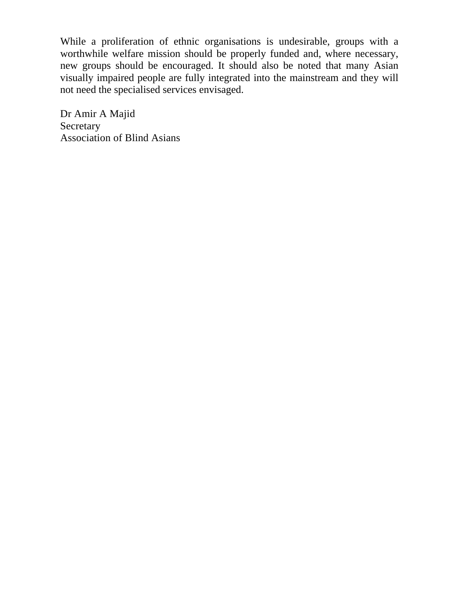While a proliferation of ethnic organisations is undesirable, groups with a worthwhile welfare mission should be properly funded and, where necessary, new groups should be encouraged. It should also be noted that many Asian visually impaired people are fully integrated into the mainstream and they will not need the specialised services envisaged.

Dr Amir A Majid Secretary Association of Blind Asians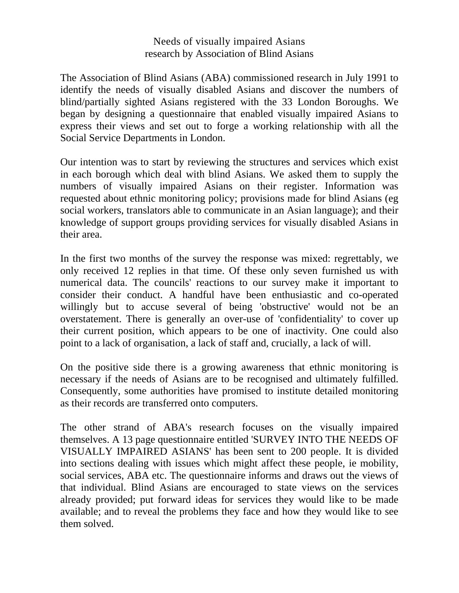#### Needs of visually impaired Asians research by Association of Blind Asians

The Association of Blind Asians (ABA) commissioned research in July 1991 to identify the needs of visually disabled Asians and discover the numbers of blind/partially sighted Asians registered with the 33 London Boroughs. We began by designing a questionnaire that enabled visually impaired Asians to express their views and set out to forge a working relationship with all the Social Service Departments in London.

Our intention was to start by reviewing the structures and services which exist in each borough which deal with blind Asians. We asked them to supply the numbers of visually impaired Asians on their register. Information was requested about ethnic monitoring policy; provisions made for blind Asians (eg social workers, translators able to communicate in an Asian language); and their knowledge of support groups providing services for visually disabled Asians in their area.

In the first two months of the survey the response was mixed: regrettably, we only received 12 replies in that time. Of these only seven furnished us with numerical data. The councils' reactions to our survey make it important to consider their conduct. A handful have been enthusiastic and co-operated willingly but to accuse several of being 'obstructive' would not be an overstatement. There is generally an over-use of 'confidentiality' to cover up their current position, which appears to be one of inactivity. One could also point to a lack of organisation, a lack of staff and, crucially, a lack of will.

On the positive side there is a growing awareness that ethnic monitoring is necessary if the needs of Asians are to be recognised and ultimately fulfilled. Consequently, some authorities have promised to institute detailed monitoring as their records are transferred onto computers.

The other strand of ABA's research focuses on the visually impaired themselves. A 13 page questionnaire entitled 'SURVEY INTO THE NEEDS OF VISUALLY IMPAIRED ASIANS' has been sent to 200 people. It is divided into sections dealing with issues which might affect these people, ie mobility, social services, ABA etc. The questionnaire informs and draws out the views of that individual. Blind Asians are encouraged to state views on the services already provided; put forward ideas for services they would like to be made available; and to reveal the problems they face and how they would like to see them solved.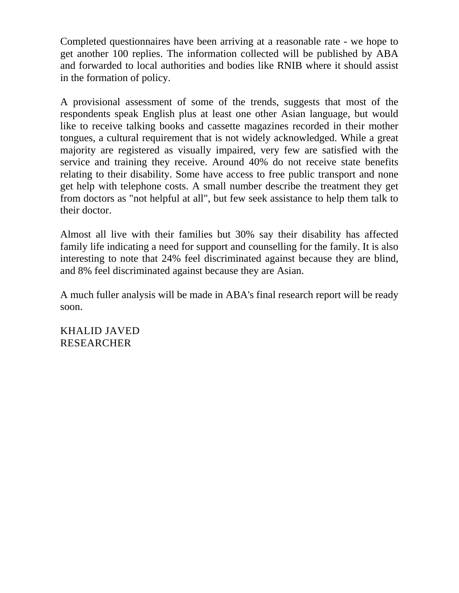Completed questionnaires have been arriving at a reasonable rate - we hope to get another 100 replies. The information collected will be published by ABA and forwarded to local authorities and bodies like RNIB where it should assist in the formation of policy.

A provisional assessment of some of the trends, suggests that most of the respondents speak English plus at least one other Asian language, but would like to receive talking books and cassette magazines recorded in their mother tongues, a cultural requirement that is not widely acknowledged. While a great majority are registered as visually impaired, very few are satisfied with the service and training they receive. Around 40% do not receive state benefits relating to their disability. Some have access to free public transport and none get help with telephone costs. A small number describe the treatment they get from doctors as "not helpful at all", but few seek assistance to help them talk to their doctor.

Almost all live with their families but 30% say their disability has affected family life indicating a need for support and counselling for the family. It is also interesting to note that 24% feel discriminated against because they are blind, and 8% feel discriminated against because they are Asian.

A much fuller analysis will be made in ABA's final research report will be ready soon.

KHALID JAVED RESEARCHER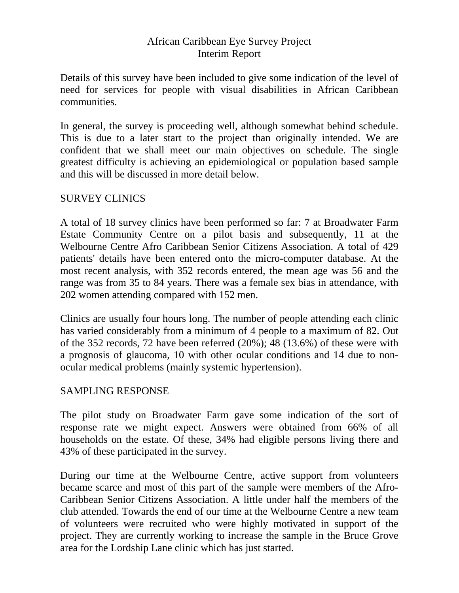### African Caribbean Eye Survey Project Interim Report

Details of this survey have been included to give some indication of the level of need for services for people with visual disabilities in African Caribbean communities.

In general, the survey is proceeding well, although somewhat behind schedule. This is due to a later start to the project than originally intended. We are confident that we shall meet our main objectives on schedule. The single greatest difficulty is achieving an epidemiological or population based sample and this will be discussed in more detail below.

### SURVEY CLINICS

A total of 18 survey clinics have been performed so far: 7 at Broadwater Farm Estate Community Centre on a pilot basis and subsequently, 11 at the Welbourne Centre Afro Caribbean Senior Citizens Association. A total of 429 patients' details have been entered onto the micro-computer database. At the most recent analysis, with 352 records entered, the mean age was 56 and the range was from 35 to 84 years. There was a female sex bias in attendance, with 202 women attending compared with 152 men.

Clinics are usually four hours long. The number of people attending each clinic has varied considerably from a minimum of 4 people to a maximum of 82. Out of the 352 records, 72 have been referred (20%); 48 (13.6%) of these were with a prognosis of glaucoma, 10 with other ocular conditions and 14 due to nonocular medical problems (mainly systemic hypertension).

#### SAMPLING RESPONSE

The pilot study on Broadwater Farm gave some indication of the sort of response rate we might expect. Answers were obtained from 66% of all households on the estate. Of these, 34% had eligible persons living there and 43% of these participated in the survey.

During our time at the Welbourne Centre, active support from volunteers became scarce and most of this part of the sample were members of the Afro-Caribbean Senior Citizens Association. A little under half the members of the club attended. Towards the end of our time at the Welbourne Centre a new team of volunteers were recruited who were highly motivated in support of the project. They are currently working to increase the sample in the Bruce Grove area for the Lordship Lane clinic which has just started.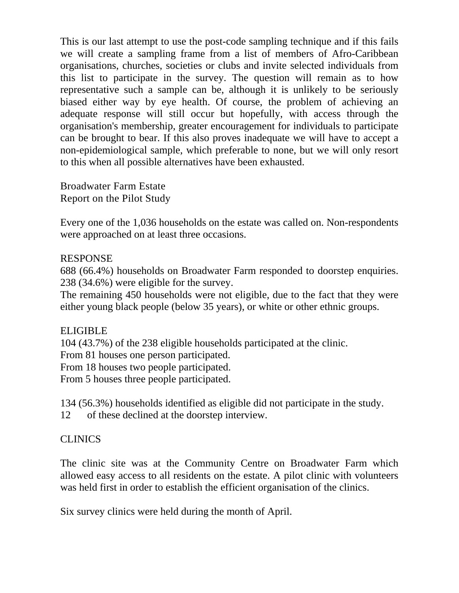This is our last attempt to use the post-code sampling technique and if this fails we will create a sampling frame from a list of members of Afro-Caribbean organisations, churches, societies or clubs and invite selected individuals from this list to participate in the survey. The question will remain as to how representative such a sample can be, although it is unlikely to be seriously biased either way by eye health. Of course, the problem of achieving an adequate response will still occur but hopefully, with access through the organisation's membership, greater encouragement for individuals to participate can be brought to bear. If this also proves inadequate we will have to accept a non-epidemiological sample, which preferable to none, but we will only resort to this when all possible alternatives have been exhausted.

Broadwater Farm Estate Report on the Pilot Study

Every one of the 1,036 households on the estate was called on. Non-respondents were approached on at least three occasions.

#### RESPONSE

688 (66.4%) households on Broadwater Farm responded to doorstep enquiries. 238 (34.6%) were eligible for the survey.

The remaining 450 households were not eligible, due to the fact that they were either young black people (below 35 years), or white or other ethnic groups.

#### ELIGIBLE

104 (43.7%) of the 238 eligible households participated at the clinic.

From 81 houses one person participated.

From 18 houses two people participated.

From 5 houses three people participated.

134 (56.3%) households identified as eligible did not participate in the study.

12 of these declined at the doorstep interview.

## **CLINICS**

The clinic site was at the Community Centre on Broadwater Farm which allowed easy access to all residents on the estate. A pilot clinic with volunteers was held first in order to establish the efficient organisation of the clinics.

Six survey clinics were held during the month of April.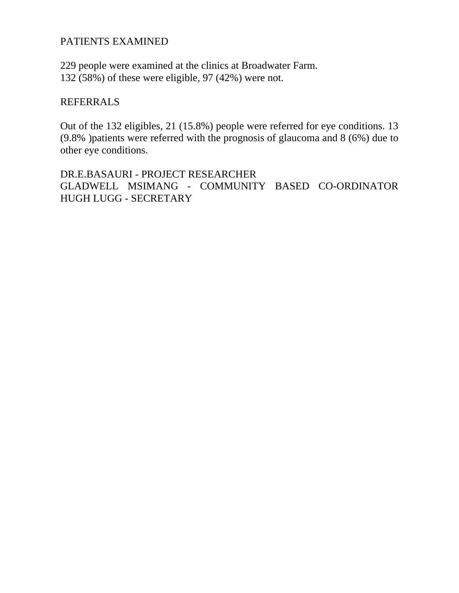### PATIENTS EXAMINED

229 people were examined at the clinics at Broadwater Farm. 132 (58%) of these were eligible, 97 (42%) were not.

#### REFERRALS

Out of the 132 eligibles, 21 (15.8%) people were referred for eye conditions. 13 (9.8% )patients were referred with the prognosis of glaucoma and 8 (6%) due to other eye conditions.

DR.E.BASAURI - PROJECT RESEARCHER GLADWELL MSIMANG - COMMUNITY BASED CO-ORDINATOR HUGH LUGG - SECRETARY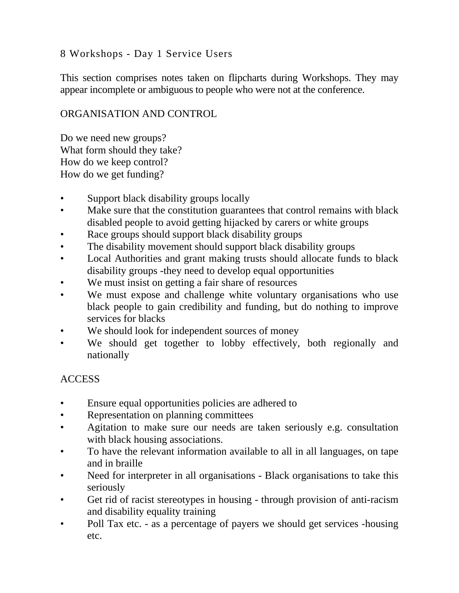## 8 Workshops - Day 1 Service Users

This section comprises notes taken on flipcharts during Workshops. They may appear incomplete or ambiguous to people who were not at the conference.

#### ORGANISATION AND CONTROL

Do we need new groups? What form should they take? How do we keep control? How do we get funding?

- Support black disability groups locally
- Make sure that the constitution guarantees that control remains with black disabled people to avoid getting hijacked by carers or white groups
- Race groups should support black disability groups
- The disability movement should support black disability groups
- Local Authorities and grant making trusts should allocate funds to black disability groups -they need to develop equal opportunities
- We must insist on getting a fair share of resources
- We must expose and challenge white voluntary organisations who use black people to gain credibility and funding, but do nothing to improve services for blacks
- We should look for independent sources of money
- We should get together to lobby effectively, both regionally and nationally

## ACCESS

- Ensure equal opportunities policies are adhered to
- Representation on planning committees
- Agitation to make sure our needs are taken seriously e.g. consultation with black housing associations.
- To have the relevant information available to all in all languages, on tape and in braille
- Need for interpreter in all organisations Black organisations to take this seriously
- Get rid of racist stereotypes in housing through provision of anti-racism and disability equality training
- Poll Tax etc. as a percentage of payers we should get services -housing etc.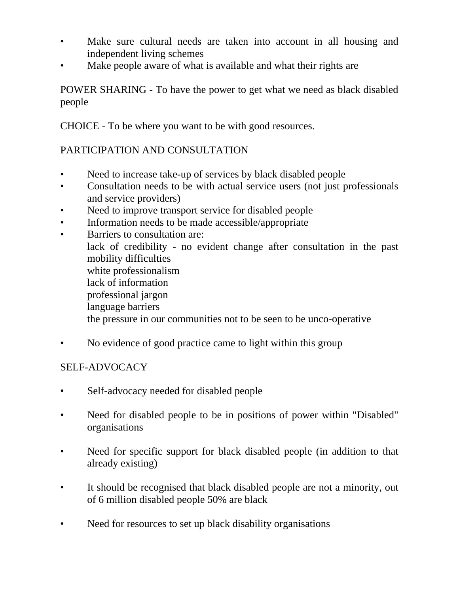- Make sure cultural needs are taken into account in all housing and independent living schemes
- Make people aware of what is available and what their rights are

POWER SHARING - To have the power to get what we need as black disabled people

CHOICE - To be where you want to be with good resources.

## PARTICIPATION AND CONSULTATION

- Need to increase take-up of services by black disabled people
- Consultation needs to be with actual service users (not just professionals and service providers)
- Need to improve transport service for disabled people
- Information needs to be made accessible/appropriate
- Barriers to consultation are: lack of credibility - no evident change after consultation in the past mobility difficulties white professionalism lack of information professional jargon language barriers the pressure in our communities not to be seen to be unco-operative
- No evidence of good practice came to light within this group

#### SELF-ADVOCACY

- Self-advocacy needed for disabled people
- Need for disabled people to be in positions of power within "Disabled" organisations
- Need for specific support for black disabled people (in addition to that already existing)
- It should be recognised that black disabled people are not a minority, out of 6 million disabled people 50% are black
- Need for resources to set up black disability organisations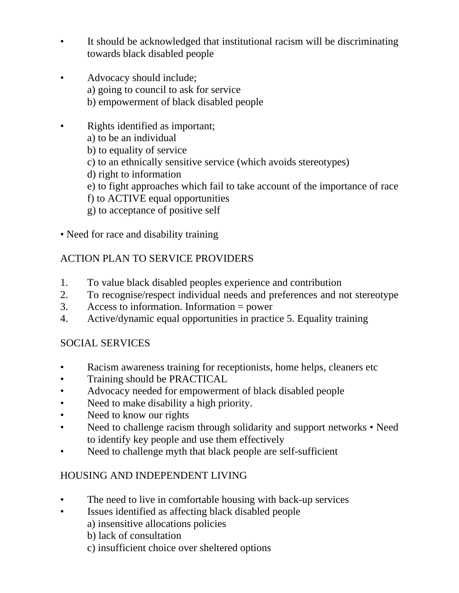- It should be acknowledged that institutional racism will be discriminating towards black disabled people
- Advocacy should include; a) going to council to ask for service b) empowerment of black disabled people
- Rights identified as important;
	- a) to be an individual
	- b) to equality of service
	- c) to an ethnically sensitive service (which avoids stereotypes)
	- d) right to information
	- e) to fight approaches which fail to take account of the importance of race
	- f) to ACTIVE equal opportunities
	- g) to acceptance of positive self
- Need for race and disability training

## ACTION PLAN TO SERVICE PROVIDERS

- 1. To value black disabled peoples experience and contribution
- 2. To recognise/respect individual needs and preferences and not stereotype
- 3. Access to information. Information = power
- 4. Active/dynamic equal opportunities in practice 5. Equality training

## SOCIAL SERVICES

- Racism awareness training for receptionists, home helps, cleaners etc
- Training should be PRACTICAL
- Advocacy needed for empowerment of black disabled people
- Need to make disability a high priority.
- Need to know our rights
- Need to challenge racism through solidarity and support networks Need to identify key people and use them effectively
- Need to challenge myth that black people are self-sufficient

## HOUSING AND INDEPENDENT LIVING

- The need to live in comfortable housing with back-up services
- Issues identified as affecting black disabled people
	- a) insensitive allocations policies
	- b) lack of consultation
	- c) insufficient choice over sheltered options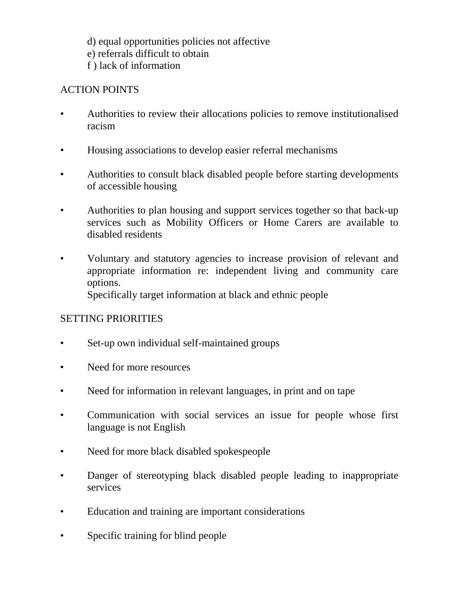- d) equal opportunities policies not affective
- e) referrals difficult to obtain
- f ) lack of information

# ACTION POINTS

- Authorities to review their allocations policies to remove institutionalised racism
- Housing associations to develop easier referral mechanisms
- Authorities to consult black disabled people before starting developments of accessible housing
- Authorities to plan housing and support services together so that back-up services such as Mobility Officers or Home Carers are available to disabled residents
- Voluntary and statutory agencies to increase provision of relevant and appropriate information re: independent living and community care options.

Specifically target information at black and ethnic people

## SETTING PRIORITIES

- Set-up own individual self-maintained groups
- Need for more resources
- Need for information in relevant languages, in print and on tape
- Communication with social services an issue for people whose first language is not English
- Need for more black disabled spokespeople
- Danger of stereotyping black disabled people leading to inappropriate services
- Education and training are important considerations
- Specific training for blind people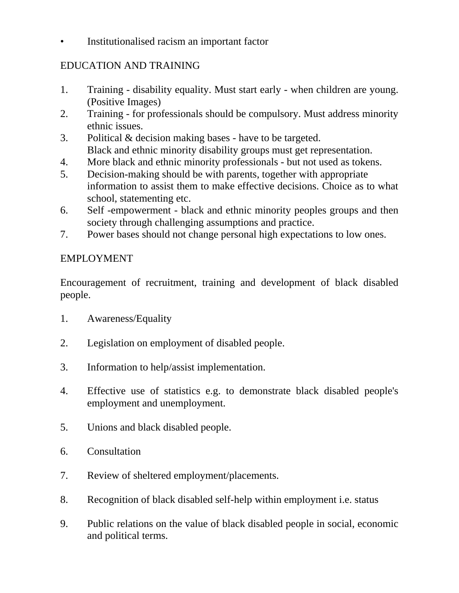• Institutionalised racism an important factor

## EDUCATION AND TRAINING

- 1. Training disability equality. Must start early when children are young. (Positive Images)
- 2. Training for professionals should be compulsory. Must address minority ethnic issues.
- 3. Political & decision making bases have to be targeted. Black and ethnic minority disability groups must get representation.
- 4. More black and ethnic minority professionals but not used as tokens.
- 5. Decision-making should be with parents, together with appropriate information to assist them to make effective decisions. Choice as to what school, statementing etc.
- 6. Self -empowerment black and ethnic minority peoples groups and then society through challenging assumptions and practice.
- 7. Power bases should not change personal high expectations to low ones.

## EMPLOYMENT

Encouragement of recruitment, training and development of black disabled people.

- 1. Awareness/Equality
- 2. Legislation on employment of disabled people.
- 3. Information to help/assist implementation.
- 4. Effective use of statistics e.g. to demonstrate black disabled people's employment and unemployment.
- 5. Unions and black disabled people.
- 6. Consultation
- 7. Review of sheltered employment/placements.
- 8. Recognition of black disabled self-help within employment i.e. status
- 9. Public relations on the value of black disabled people in social, economic and political terms.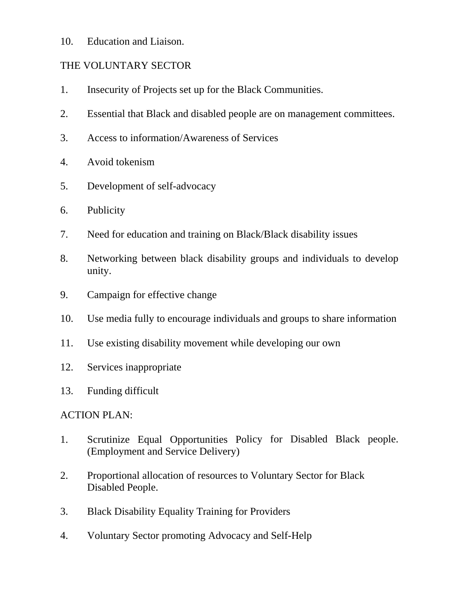10. Education and Liaison.

## THE VOLUNTARY SECTOR

- 1. Insecurity of Projects set up for the Black Communities.
- 2. Essential that Black and disabled people are on management committees.
- 3. Access to information/Awareness of Services
- 4. Avoid tokenism
- 5. Development of self-advocacy
- 6. Publicity
- 7. Need for education and training on Black/Black disability issues
- 8. Networking between black disability groups and individuals to develop unity.
- 9. Campaign for effective change
- 10. Use media fully to encourage individuals and groups to share information
- 11. Use existing disability movement while developing our own
- 12. Services inappropriate
- 13. Funding difficult

## ACTION PLAN:

- 1. Scrutinize Equal Opportunities Policy for Disabled Black people. (Employment and Service Delivery)
- 2. Proportional allocation of resources to Voluntary Sector for Black Disabled People.
- 3. Black Disability Equality Training for Providers
- 4. Voluntary Sector promoting Advocacy and Self-Help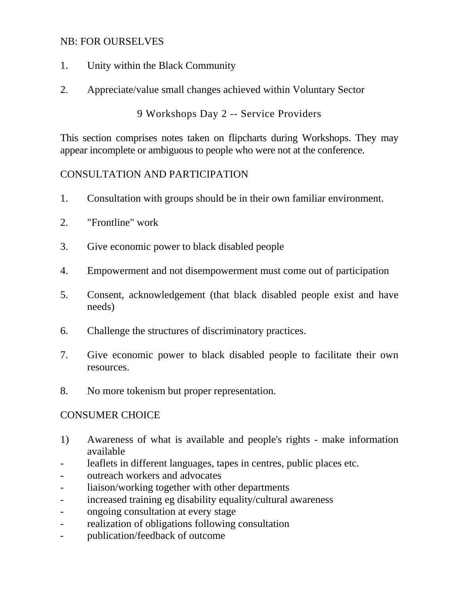#### NB: FOR OURSELVES

- 1. Unity within the Black Community
- 2. Appreciate/value small changes achieved within Voluntary Sector

9 Workshops Day 2 -- Service Providers

This section comprises notes taken on flipcharts during Workshops. They may appear incomplete or ambiguous to people who were not at the conference.

#### CONSULTATION AND PARTICIPATION

- 1. Consultation with groups should be in their own familiar environment.
- 2. "Frontline" work
- 3. Give economic power to black disabled people
- 4. Empowerment and not disempowerment must come out of participation
- 5. Consent, acknowledgement (that black disabled people exist and have needs)
- 6. Challenge the structures of discriminatory practices.
- 7. Give economic power to black disabled people to facilitate their own resources.
- 8. No more tokenism but proper representation.

#### CONSUMER CHOICE

- 1) Awareness of what is available and people's rights make information available
- leaflets in different languages, tapes in centres, public places etc.
- outreach workers and advocates
- liaison/working together with other departments
- increased training eg disability equality/cultural awareness
- ongoing consultation at every stage
- realization of obligations following consultation
- publication/feedback of outcome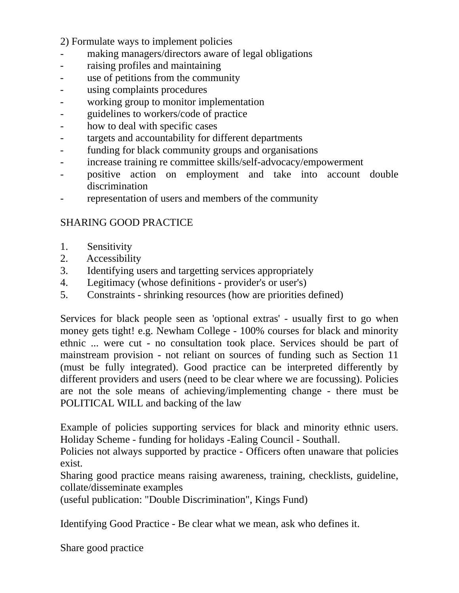2) Formulate ways to implement policies

- making managers/directors aware of legal obligations
- raising profiles and maintaining
- use of petitions from the community
- using complaints procedures
- working group to monitor implementation
- guidelines to workers/code of practice
- how to deal with specific cases
- targets and accountability for different departments
- funding for black community groups and organisations
- increase training re committee skills/self-advocacy/empowerment
- positive action on employment and take into account double discrimination
- representation of users and members of the community

## SHARING GOOD PRACTICE

- 1. Sensitivity
- 2. Accessibility
- 3. Identifying users and targetting services appropriately
- 4. Legitimacy (whose definitions provider's or user's)
- 5. Constraints shrinking resources (how are priorities defined)

Services for black people seen as 'optional extras' - usually first to go when money gets tight! e.g. Newham College - 100% courses for black and minority ethnic ... were cut - no consultation took place. Services should be part of mainstream provision - not reliant on sources of funding such as Section 11 (must be fully integrated). Good practice can be interpreted differently by different providers and users (need to be clear where we are focussing). Policies are not the sole means of achieving/implementing change - there must be POLITICAL WILL and backing of the law

Example of policies supporting services for black and minority ethnic users. Holiday Scheme - funding for holidays -Ealing Council - Southall.

Policies not always supported by practice - Officers often unaware that policies exist.

Sharing good practice means raising awareness, training, checklists, guideline, collate/disseminate examples

(useful publication: "Double Discrimination", Kings Fund)

Identifying Good Practice - Be clear what we mean, ask who defines it.

Share good practice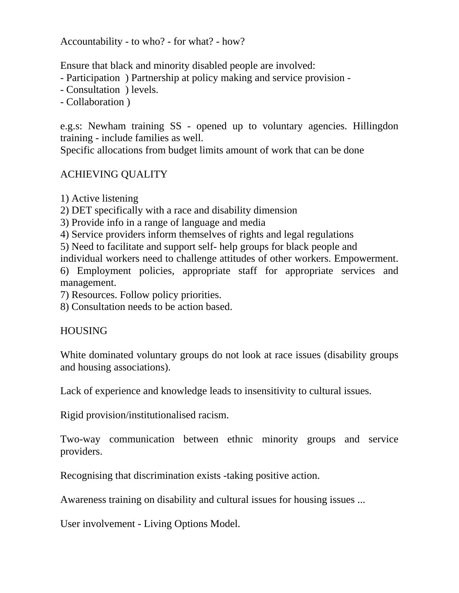Accountability - to who? - for what? - how?

Ensure that black and minority disabled people are involved:

- Participation ) Partnership at policy making and service provision -
- Consultation ) levels.
- Collaboration )

e.g.s: Newham training SS - opened up to voluntary agencies. Hillingdon training - include families as well.

Specific allocations from budget limits amount of work that can be done

## ACHIEVING QUALITY

- 1) Active listening
- 2) DET specifically with a race and disability dimension
- 3) Provide info in a range of language and media
- 4) Service providers inform themselves of rights and legal regulations
- 5) Need to facilitate and support self- help groups for black people and
- individual workers need to challenge attitudes of other workers. Empowerment.
- 6) Employment policies, appropriate staff for appropriate services and management.
- 7) Resources. Follow policy priorities.
- 8) Consultation needs to be action based.

## **HOUSING**

White dominated voluntary groups do not look at race issues (disability groups and housing associations).

Lack of experience and knowledge leads to insensitivity to cultural issues.

Rigid provision/institutionalised racism.

Two-way communication between ethnic minority groups and service providers.

Recognising that discrimination exists -taking positive action.

Awareness training on disability and cultural issues for housing issues ...

User involvement - Living Options Model.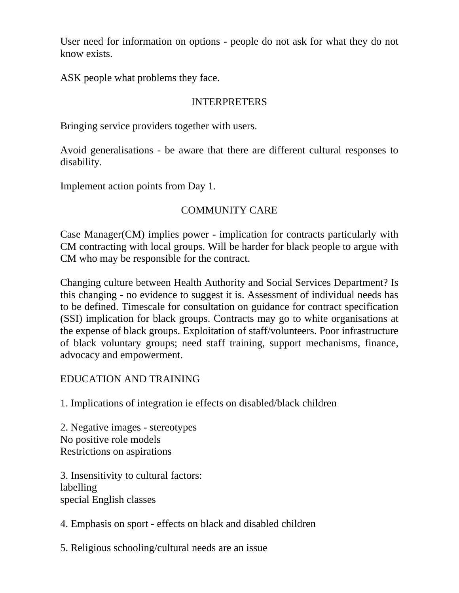User need for information on options - people do not ask for what they do not know exists.

ASK people what problems they face.

#### INTERPRETERS

Bringing service providers together with users.

Avoid generalisations - be aware that there are different cultural responses to disability.

Implement action points from Day 1.

## COMMUNITY CARE

Case Manager(CM) implies power - implication for contracts particularly with CM contracting with local groups. Will be harder for black people to argue with CM who may be responsible for the contract.

Changing culture between Health Authority and Social Services Department? Is this changing - no evidence to suggest it is. Assessment of individual needs has to be defined. Timescale for consultation on guidance for contract specification (SSI) implication for black groups. Contracts may go to white organisations at the expense of black groups. Exploitation of staff/volunteers. Poor infrastructure of black voluntary groups; need staff training, support mechanisms, finance, advocacy and empowerment.

## EDUCATION AND TRAINING

1. Implications of integration ie effects on disabled/black children

2. Negative images - stereotypes No positive role models Restrictions on aspirations

3. Insensitivity to cultural factors: labelling special English classes

4. Emphasis on sport - effects on black and disabled children

5. Religious schooling/cultural needs are an issue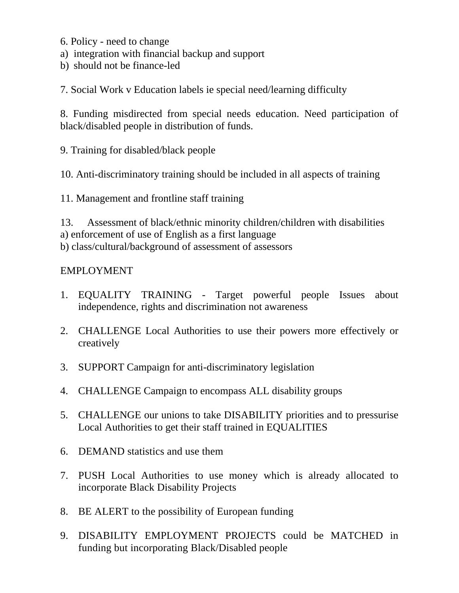- 6. Policy need to change
- a) integration with financial backup and support
- b) should not be finance-led

7. Social Work v Education labels ie special need/learning difficulty

8. Funding misdirected from special needs education. Need participation of black/disabled people in distribution of funds.

9. Training for disabled/black people

10. Anti-discriminatory training should be included in all aspects of training

11. Management and frontline staff training

13. Assessment of black/ethnic minority children/children with disabilities a) enforcement of use of English as a first language b) class/cultural/background of assessment of assessors

## EMPLOYMENT

- 1. EQUALITY TRAINING Target powerful people Issues about independence, rights and discrimination not awareness
- 2. CHALLENGE Local Authorities to use their powers more effectively or creatively
- 3. SUPPORT Campaign for anti-discriminatory legislation
- 4. CHALLENGE Campaign to encompass ALL disability groups
- 5. CHALLENGE our unions to take DISABILITY priorities and to pressurise Local Authorities to get their staff trained in EQUALITIES
- 6. DEMAND statistics and use them
- 7. PUSH Local Authorities to use money which is already allocated to incorporate Black Disability Projects
- 8. BE ALERT to the possibility of European funding
- 9. DISABILITY EMPLOYMENT PROJECTS could be MATCHED in funding but incorporating Black/Disabled people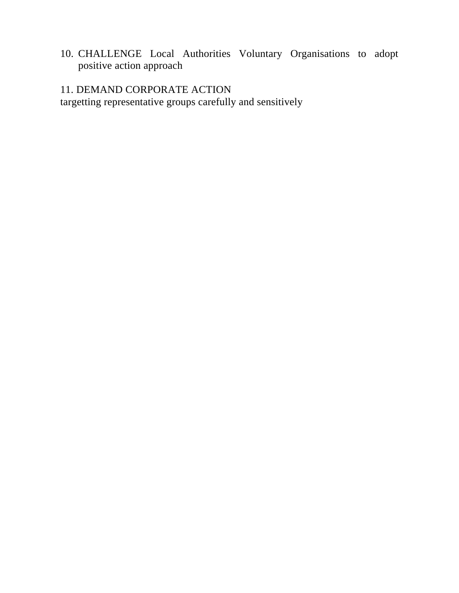10. CHALLENGE Local Authorities Voluntary Organisations to adopt positive action approach

# 11. DEMAND CORPORATE ACTION

targetting representative groups carefully and sensitively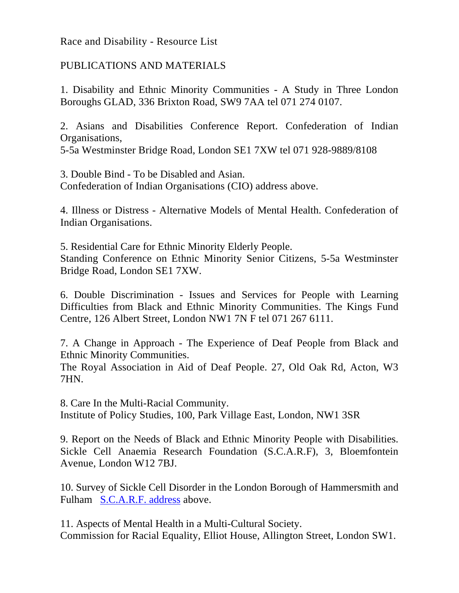Race and Disability - Resource List

## PUBLICATIONS AND MATERIALS

1. Disability and Ethnic Minority Communities - A Study in Three London Boroughs GLAD, 336 Brixton Road, SW9 7AA tel 071 274 0107.

2. Asians and Disabilities Conference Report. Confederation of Indian Organisations,

5-5a Westminster Bridge Road, London SE1 7XW tel 071 928-9889/8108

3. Double Bind - To be Disabled and Asian. Confederation of Indian Organisations (CIO) address above.

4. Illness or Distress - Alternative Models of Mental Health. Confederation of Indian Organisations.

5. Residential Care for Ethnic Minority Elderly People. Standing Conference on Ethnic Minority Senior Citizens, 5-5a Westminster Bridge Road, London SE1 7XW.

6. Double Discrimination - Issues and Services for People with Learning Difficulties from Black and Ethnic Minority Communities. The Kings Fund Centre, 126 Albert Street, London NW1 7N F tel 071 267 6111.

7. A Change in Approach - The Experience of Deaf People from Black and Ethnic Minority Communities.

The Royal Association in Aid of Deaf People. 27, Old Oak Rd, Acton, W3 7HN.

8. Care In the Multi-Racial Community. Institute of Policy Studies, 100, Park Village East, London, NW1 3SR

9. Report on the Needs of Black and Ethnic Minority People with Disabilities. Sickle Cell Anaemia Research Foundation (S.C.A.R.F), 3, Bloemfontein Avenue, London W12 7BJ.

10. Survey of Sickle Cell Disorder in the London Borough of Hammersmith and Fulham S.C.A.R.F. address above.

11. Aspects of Mental Health in a Multi-Cultural Society. Commission for Racial Equality, Elliot House, Allington Street, London SW1.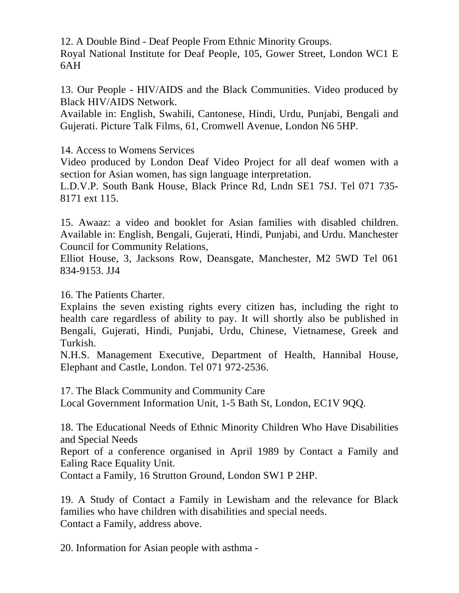12. A Double Bind - Deaf People From Ethnic Minority Groups.

Royal National Institute for Deaf People, 105, Gower Street, London WC1 E 6AH

13. Our People - HIV/AIDS and the Black Communities. Video produced by Black HIV/AIDS Network.

Available in: English, Swahili, Cantonese, Hindi, Urdu, Punjabi, Bengali and Gujerati. Picture Talk Films, 61, Cromwell Avenue, London N6 5HP.

14. Access to Womens Services

Video produced by London Deaf Video Project for all deaf women with a section for Asian women, has sign language interpretation.

L.D.V.P. South Bank House, Black Prince Rd, Lndn SE1 7SJ. Tel 071 735- 8171 ext 115.

15. Awaaz: a video and booklet for Asian families with disabled children. Available in: English, Bengali, Gujerati, Hindi, Punjabi, and Urdu. Manchester Council for Community Relations,

Elliot House, 3, Jacksons Row, Deansgate, Manchester, M2 5WD Tel 061 834-9153. JJ4

16. The Patients Charter.

Explains the seven existing rights every citizen has, including the right to health care regardless of ability to pay. It will shortly also be published in Bengali, Gujerati, Hindi, Punjabi, Urdu, Chinese, Vietnamese, Greek and Turkish.

N.H.S. Management Executive, Department of Health, Hannibal House, Elephant and Castle, London. Tel 071 972-2536.

17. The Black Community and Community Care

Local Government Information Unit, 1-5 Bath St, London, EC1V 9QQ.

18. The Educational Needs of Ethnic Minority Children Who Have Disabilities and Special Needs

Report of a conference organised in April 1989 by Contact a Family and Ealing Race Equality Unit.

Contact a Family, 16 Strutton Ground, London SW1 P 2HP.

19. A Study of Contact a Family in Lewisham and the relevance for Black families who have children with disabilities and special needs. Contact a Family, address above.

20. Information for Asian people with asthma -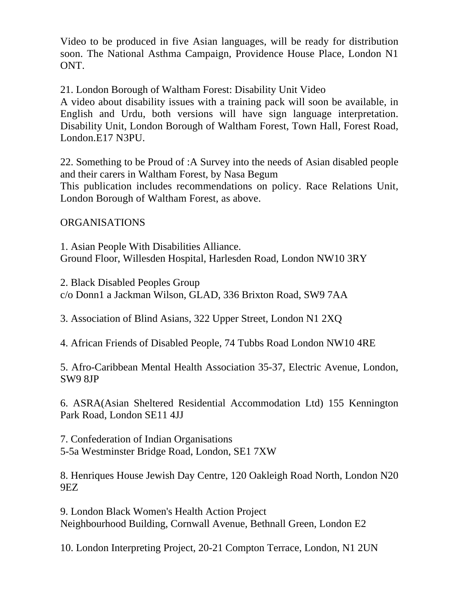Video to be produced in five Asian languages, will be ready for distribution soon. The National Asthma Campaign, Providence House Place, London N1 ONT.

21. London Borough of Waltham Forest: Disability Unit Video

A video about disability issues with a training pack will soon be available, in English and Urdu, both versions will have sign language interpretation. Disability Unit, London Borough of Waltham Forest, Town Hall, Forest Road, London.E17 N3PU.

22. Something to be Proud of :A Survey into the needs of Asian disabled people and their carers in Waltham Forest, by Nasa Begum This publication includes recommendations on policy. Race Relations Unit, London Borough of Waltham Forest, as above.

ORGANISATIONS

1. Asian People With Disabilities Alliance. Ground Floor, Willesden Hospital, Harlesden Road, London NW10 3RY

2. Black Disabled Peoples Group c/o Donn1 a Jackman Wilson, GLAD, 336 Brixton Road, SW9 7AA

3. Association of Blind Asians, 322 Upper Street, London N1 2XQ

4. African Friends of Disabled People, 74 Tubbs Road London NW10 4RE

5. Afro-Caribbean Mental Health Association 35-37, Electric Avenue, London, SW9 8JP

6. ASRA(Asian Sheltered Residential Accommodation Ltd) 155 Kennington Park Road, London SE11 4JJ

7. Confederation of Indian Organisations 5-5a Westminster Bridge Road, London, SE1 7XW

8. Henriques House Jewish Day Centre, 120 Oakleigh Road North, London N20 9EZ

9. London Black Women's Health Action Project Neighbourhood Building, Cornwall Avenue, Bethnall Green, London E2

10. London Interpreting Project, 20-21 Compton Terrace, London, N1 2UN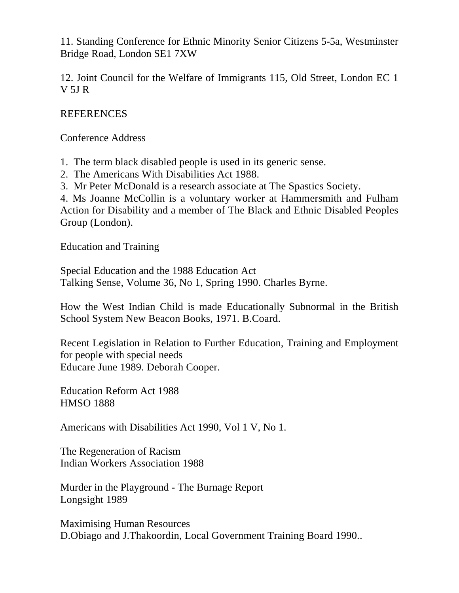11. Standing Conference for Ethnic Minority Senior Citizens 5-5a, Westminster Bridge Road, London SE1 7XW

12. Joint Council for the Welfare of Immigrants 115, Old Street, London EC 1 V 5J R

#### REFERENCES

Conference Address

1. The term black disabled people is used in its generic sense.

- 2. The Americans With Disabilities Act 1988.
- 3. Mr Peter McDonald is a research associate at The Spastics Society.

4. Ms Joanne McCollin is a voluntary worker at Hammersmith and Fulham Action for Disability and a member of The Black and Ethnic Disabled Peoples Group (London).

Education and Training

Special Education and the 1988 Education Act Talking Sense, Volume 36, No 1, Spring 1990. Charles Byrne.

How the West Indian Child is made Educationally Subnormal in the British School System New Beacon Books, 1971. B.Coard.

Recent Legislation in Relation to Further Education, Training and Employment for people with special needs Educare June 1989. Deborah Cooper.

Education Reform Act 1988 HMSO 1888

Americans with Disabilities Act 1990, Vol 1 V, No 1.

The Regeneration of Racism Indian Workers Association 1988

Murder in the Playground - The Burnage Report Longsight 1989

Maximising Human Resources D.Obiago and J.Thakoordin, Local Government Training Board 1990..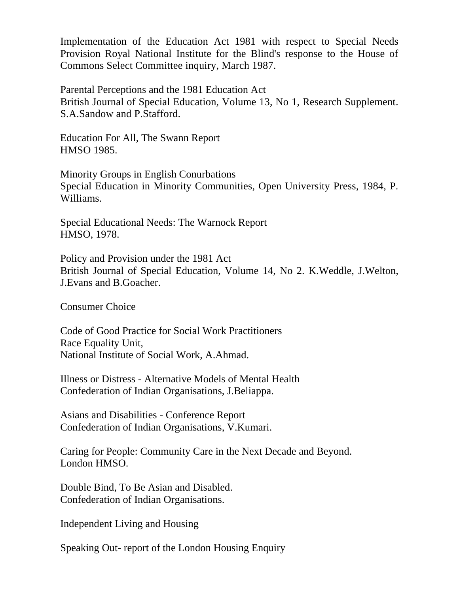Implementation of the Education Act 1981 with respect to Special Needs Provision Royal National Institute for the Blind's response to the House of Commons Select Committee inquiry, March 1987.

Parental Perceptions and the 1981 Education Act British Journal of Special Education, Volume 13, No 1, Research Supplement. S.A.Sandow and P.Stafford.

Education For All, The Swann Report HMSO 1985.

Minority Groups in English Conurbations Special Education in Minority Communities, Open University Press, 1984, P. Williams.

Special Educational Needs: The Warnock Report HMSO, 1978.

Policy and Provision under the 1981 Act British Journal of Special Education, Volume 14, No 2. K.Weddle, J.Welton, J.Evans and B.Goacher.

Consumer Choice

Code of Good Practice for Social Work Practitioners Race Equality Unit, National Institute of Social Work, A.Ahmad.

Illness or Distress - Alternative Models of Mental Health Confederation of Indian Organisations, J.Beliappa.

Asians and Disabilities - Conference Report Confederation of Indian Organisations, V.Kumari.

Caring for People: Community Care in the Next Decade and Beyond. London HMSO.

Double Bind, To Be Asian and Disabled. Confederation of Indian Organisations.

Independent Living and Housing

Speaking Out- report of the London Housing Enquiry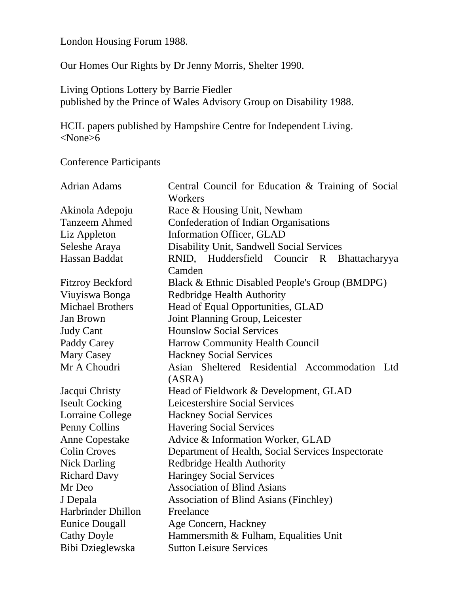London Housing Forum 1988.

Our Homes Our Rights by Dr Jenny Morris, Shelter 1990.

Living Options Lottery by Barrie Fiedler published by the Prince of Wales Advisory Group on Disability 1988.

HCIL papers published by Hampshire Centre for Independent Living. <None>6

Conference Participants

| <b>Adrian Adams</b>     | Central Council for Education & Training of Social<br>Workers |
|-------------------------|---------------------------------------------------------------|
| Akinola Adepoju         | Race & Housing Unit, Newham                                   |
| <b>Tanzeem Ahmed</b>    | Confederation of Indian Organisations                         |
| Liz Appleton            | Information Officer, GLAD                                     |
| Seleshe Araya           | Disability Unit, Sandwell Social Services                     |
| Hassan Baddat           | RNID, Huddersfield Councir R Bhattacharyya                    |
|                         | Camden                                                        |
| <b>Fitzroy Beckford</b> | Black & Ethnic Disabled People's Group (BMDPG)                |
| Viuyiswa Bonga          | <b>Redbridge Health Authority</b>                             |
| <b>Michael Brothers</b> | Head of Equal Opportunities, GLAD                             |
| Jan Brown               | Joint Planning Group, Leicester                               |
| <b>Judy Cant</b>        | <b>Hounslow Social Services</b>                               |
| Paddy Carey             | <b>Harrow Community Health Council</b>                        |
| <b>Mary Casey</b>       | <b>Hackney Social Services</b>                                |
| Mr A Choudri            | Asian Sheltered Residential Accommodation Ltd                 |
|                         | (ASRA)                                                        |
| Jacqui Christy          | Head of Fieldwork & Development, GLAD                         |
| <b>Iseult Cocking</b>   | Leicestershire Social Services                                |
| <b>Lorraine College</b> | <b>Hackney Social Services</b>                                |
| Penny Collins           | <b>Havering Social Services</b>                               |
| <b>Anne Copestake</b>   | Advice & Information Worker, GLAD                             |
| <b>Colin Croves</b>     | Department of Health, Social Services Inspectorate            |
| <b>Nick Darling</b>     | <b>Redbridge Health Authority</b>                             |
| <b>Richard Davy</b>     | <b>Haringey Social Services</b>                               |
| Mr Deo                  | <b>Association of Blind Asians</b>                            |
| J Depala                | <b>Association of Blind Asians (Finchley)</b>                 |
| Harbrinder Dhillon      | Freelance                                                     |
| <b>Eunice Dougall</b>   | Age Concern, Hackney                                          |
| <b>Cathy Doyle</b>      | Hammersmith & Fulham, Equalities Unit                         |
| Bibi Dzieglewska        | <b>Sutton Leisure Services</b>                                |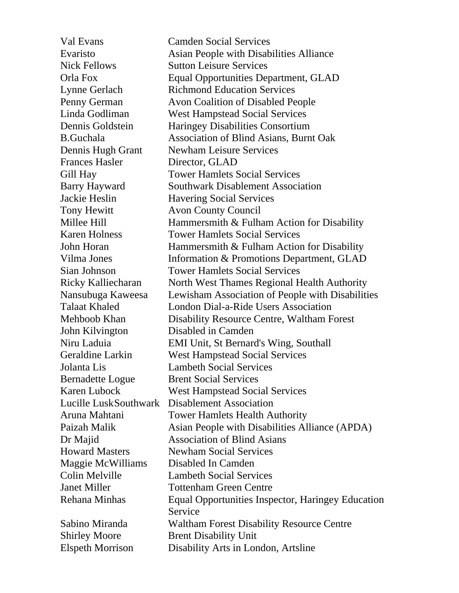Val Evans Camden Social Services Evaristo Asian People with Disabilities Alliance Nick Fellows Sutton Leisure Services Orla Fox Equal Opportunities Department, GLAD Lynne Gerlach Richmond Education Services Penny German Avon Coalition of Disabled People Linda Godliman West Hampstead Social Services Dennis Goldstein Haringey Disabilities Consortium B.Guchala Association of Blind Asians, Burnt Oak Dennis Hugh Grant Newham Leisure Services Frances Hasler Director, GLAD Gill Hay Tower Hamlets Social Services Barry Hayward Southwark Disablement Association Jackie Heslin Havering Social Services Tony Hewitt **Avon County Council** Millee Hill Hammersmith & Fulham Action for Disability Karen Holness Tower Hamlets Social Services John Horan Hammersmith & Fulham Action for Disability Vilma Jones Information & Promotions Department, GLAD Sian Johnson Tower Hamlets Social Services Ricky Kalliecharan North West Thames Regional Health Authority Nansubuga Kaweesa Lewisham Association of People with Disabilities Talaat Khaled London Dial-a-Ride Users Association Mehboob Khan Disability Resource Centre, Waltham Forest John Kilvington Disabled in Camden Niru Laduia EMI Unit, St Bernard's Wing, Southall Geraldine Larkin West Hampstead Social Services Jolanta Lis Lambeth Social Services Bernadette Logue Brent Social Services Karen Lubock West Hampstead Social Services Lucille LuskSouthwark Disablement Association Aruna Mahtani Tower Hamlets Health Authority Paizah Malik Asian People with Disabilities Alliance (APDA) Dr Majid Association of Blind Asians Howard Masters Newham Social Services Maggie McWilliams Disabled In Camden Colin Melville Lambeth Social Services Janet Miller Tottenham Green Centre Rehana Minhas Equal Opportunities Inspector, Haringey Education Service Sabino Miranda Waltham Forest Disability Resource Centre Shirley Moore Brent Disability Unit Elspeth Morrison Disability Arts in London, Artsline